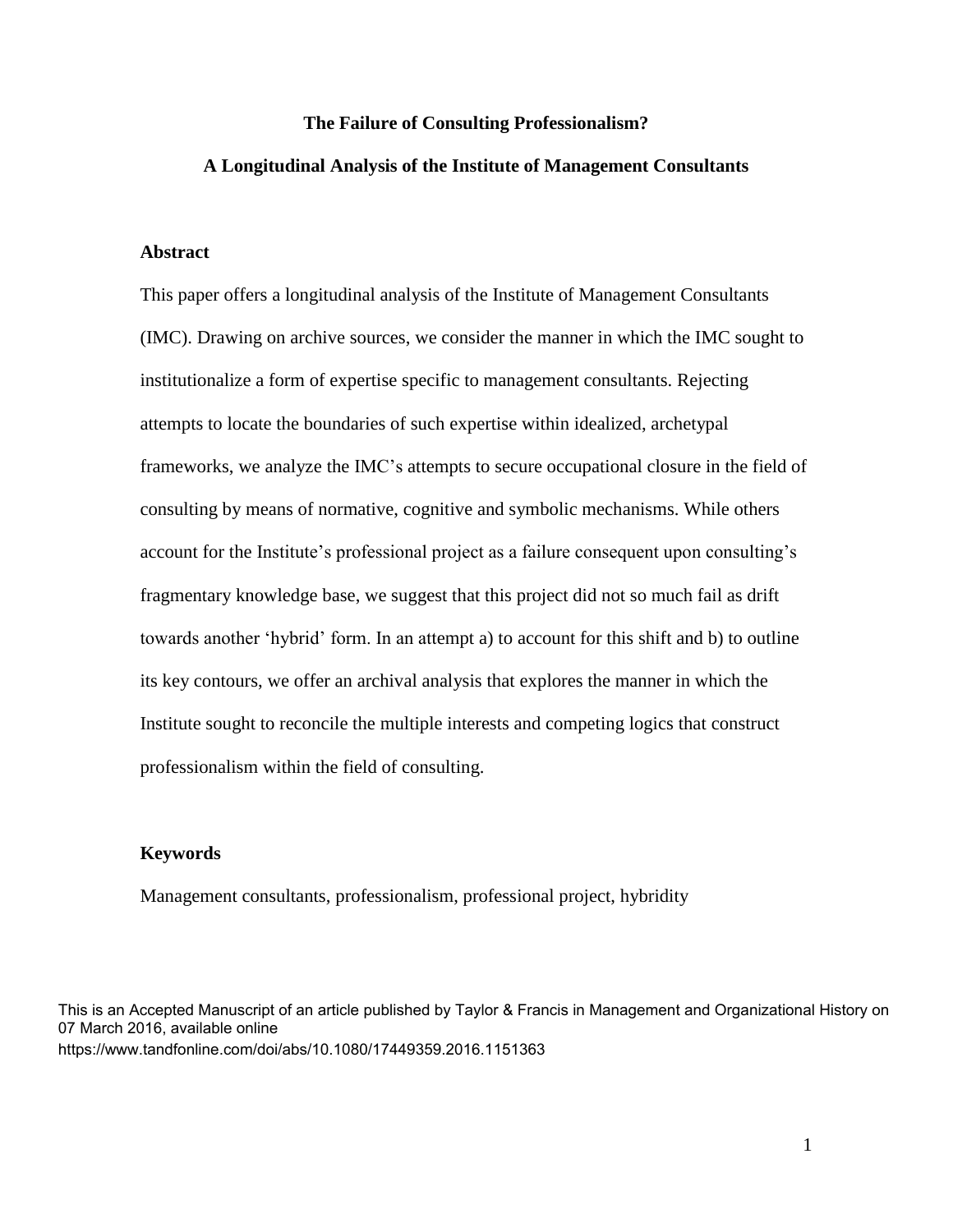#### **The Failure of Consulting Professionalism?**

## **A Longitudinal Analysis of the Institute of Management Consultants**

# **Abstract**

This paper offers a longitudinal analysis of the Institute of Management Consultants (IMC). Drawing on archive sources, we consider the manner in which the IMC sought to institutionalize a form of expertise specific to management consultants. Rejecting attempts to locate the boundaries of such expertise within idealized, archetypal frameworks, we analyze the IMC's attempts to secure occupational closure in the field of consulting by means of normative, cognitive and symbolic mechanisms. While others account for the Institute's professional project as a failure consequent upon consulting's fragmentary knowledge base, we suggest that this project did not so much fail as drift towards another 'hybrid' form. In an attempt a) to account for this shift and b) to outline its key contours, we offer an archival analysis that explores the manner in which the Institute sought to reconcile the multiple interests and competing logics that construct professionalism within the field of consulting.

#### **Keywords**

Management consultants, professionalism, professional project, hybridity

This is an Accepted Manuscript of an article published by Taylor & Francis in Management and Organizational History on 07 March 2016, available online https://www.tandfonline.com/doi/abs/10.1080/17449359.2016.1151363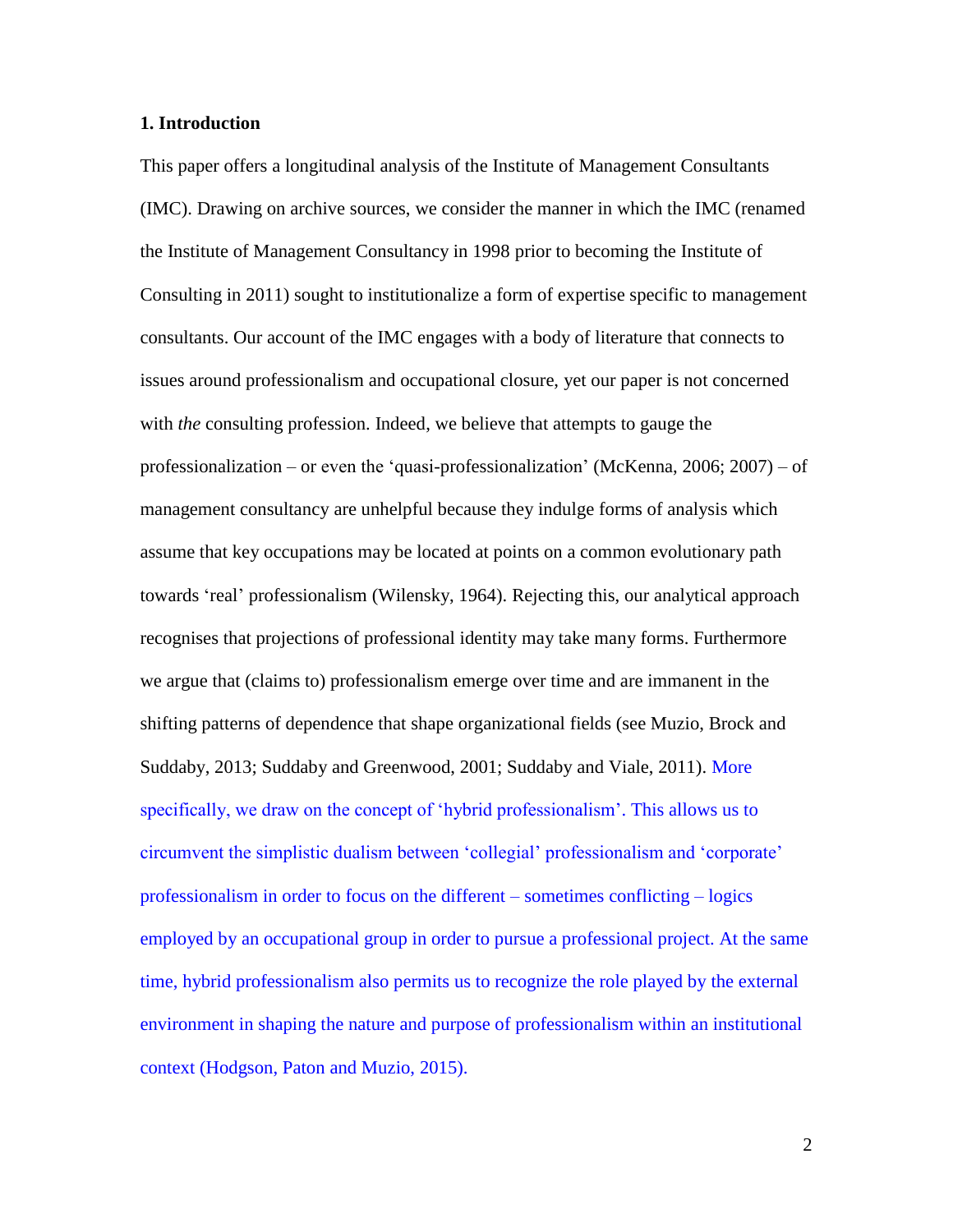## **1. Introduction**

This paper offers a longitudinal analysis of the Institute of Management Consultants (IMC). Drawing on archive sources, we consider the manner in which the IMC (renamed the Institute of Management Consultancy in 1998 prior to becoming the Institute of Consulting in 2011) sought to institutionalize a form of expertise specific to management consultants. Our account of the IMC engages with a body of literature that connects to issues around professionalism and occupational closure, yet our paper is not concerned with *the* consulting profession. Indeed, we believe that attempts to gauge the professionalization – or even the 'quasi-professionalization' (McKenna, 2006; 2007) – of management consultancy are unhelpful because they indulge forms of analysis which assume that key occupations may be located at points on a common evolutionary path towards 'real' professionalism (Wilensky, 1964). Rejecting this, our analytical approach recognises that projections of professional identity may take many forms. Furthermore we argue that (claims to) professionalism emerge over time and are immanent in the shifting patterns of dependence that shape organizational fields (see Muzio, Brock and Suddaby, 2013; Suddaby and Greenwood, 2001; Suddaby and Viale, 2011). More specifically, we draw on the concept of 'hybrid professionalism'. This allows us to circumvent the simplistic dualism between 'collegial' professionalism and 'corporate' professionalism in order to focus on the different – sometimes conflicting – logics employed by an occupational group in order to pursue a professional project. At the same time, hybrid professionalism also permits us to recognize the role played by the external environment in shaping the nature and purpose of professionalism within an institutional context (Hodgson, Paton and Muzio, 2015).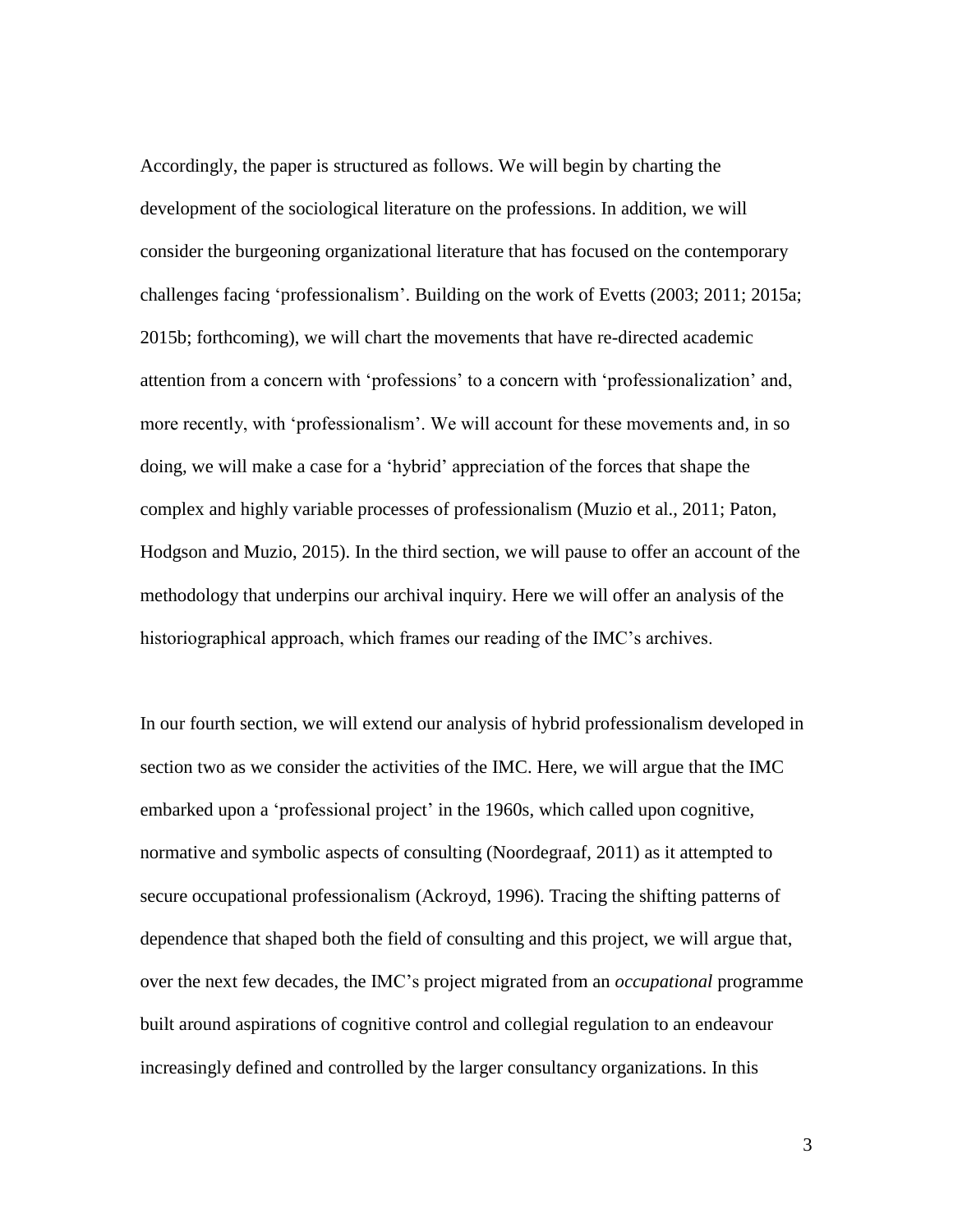Accordingly, the paper is structured as follows. We will begin by charting the development of the sociological literature on the professions. In addition, we will consider the burgeoning organizational literature that has focused on the contemporary challenges facing 'professionalism'. Building on the work of Evetts (2003; 2011; 2015a; 2015b; forthcoming), we will chart the movements that have re-directed academic attention from a concern with 'professions' to a concern with 'professionalization' and, more recently, with 'professionalism'. We will account for these movements and, in so doing, we will make a case for a 'hybrid' appreciation of the forces that shape the complex and highly variable processes of professionalism (Muzio et al., 2011; Paton, Hodgson and Muzio, 2015). In the third section, we will pause to offer an account of the methodology that underpins our archival inquiry. Here we will offer an analysis of the historiographical approach, which frames our reading of the IMC's archives.

In our fourth section, we will extend our analysis of hybrid professionalism developed in section two as we consider the activities of the IMC. Here, we will argue that the IMC embarked upon a 'professional project' in the 1960s, which called upon cognitive, normative and symbolic aspects of consulting (Noordegraaf, 2011) as it attempted to secure occupational professionalism (Ackroyd, 1996). Tracing the shifting patterns of dependence that shaped both the field of consulting and this project, we will argue that, over the next few decades, the IMC's project migrated from an *occupational* programme built around aspirations of cognitive control and collegial regulation to an endeavour increasingly defined and controlled by the larger consultancy organizations. In this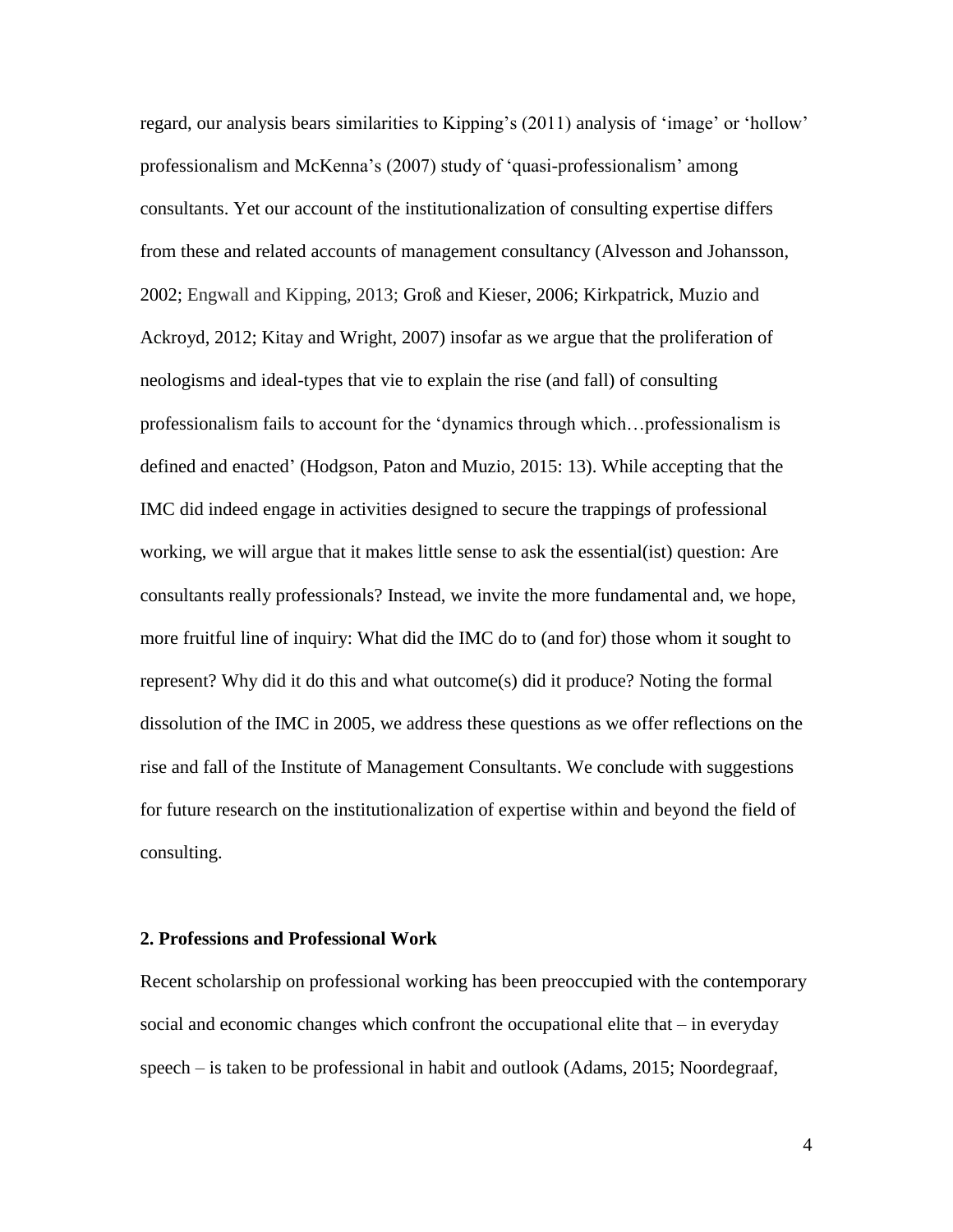regard, our analysis bears similarities to Kipping's (2011) analysis of 'image' or 'hollow' professionalism and McKenna's (2007) study of 'quasi-professionalism' among consultants. Yet our account of the institutionalization of consulting expertise differs from these and related accounts of management consultancy (Alvesson and Johansson, 2002; Engwall and Kipping, 2013; Groß and Kieser, 2006; Kirkpatrick, Muzio and Ackroyd, 2012; Kitay and Wright, 2007) insofar as we argue that the proliferation of neologisms and ideal-types that vie to explain the rise (and fall) of consulting professionalism fails to account for the 'dynamics through which…professionalism is defined and enacted' (Hodgson, Paton and Muzio, 2015: 13). While accepting that the IMC did indeed engage in activities designed to secure the trappings of professional working, we will argue that it makes little sense to ask the essential(ist) question: Are consultants really professionals? Instead, we invite the more fundamental and, we hope, more fruitful line of inquiry: What did the IMC do to (and for) those whom it sought to represent? Why did it do this and what outcome(s) did it produce? Noting the formal dissolution of the IMC in 2005, we address these questions as we offer reflections on the rise and fall of the Institute of Management Consultants. We conclude with suggestions for future research on the institutionalization of expertise within and beyond the field of consulting.

#### **2. Professions and Professional Work**

Recent scholarship on professional working has been preoccupied with the contemporary social and economic changes which confront the occupational elite that – in everyday speech – is taken to be professional in habit and outlook (Adams, 2015; Noordegraaf,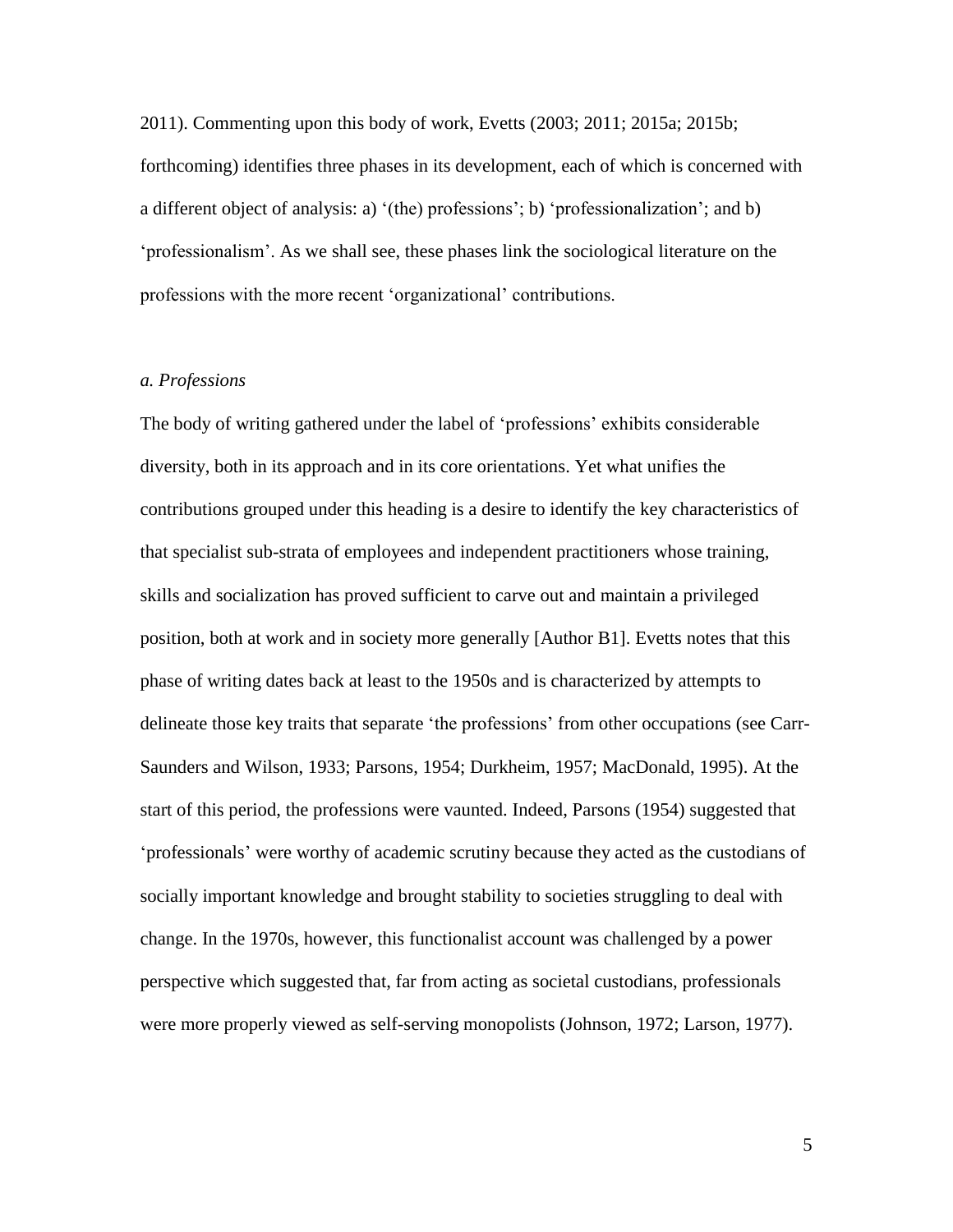2011). Commenting upon this body of work, Evetts (2003; 2011; 2015a; 2015b; forthcoming) identifies three phases in its development, each of which is concerned with a different object of analysis: a) '(the) professions'; b) 'professionalization'; and b) 'professionalism'. As we shall see, these phases link the sociological literature on the professions with the more recent 'organizational' contributions.

# *a. Professions*

The body of writing gathered under the label of 'professions' exhibits considerable diversity, both in its approach and in its core orientations. Yet what unifies the contributions grouped under this heading is a desire to identify the key characteristics of that specialist sub-strata of employees and independent practitioners whose training, skills and socialization has proved sufficient to carve out and maintain a privileged position, both at work and in society more generally [Author B1]. Evetts notes that this phase of writing dates back at least to the 1950s and is characterized by attempts to delineate those key traits that separate 'the professions' from other occupations (see Carr-Saunders and Wilson, 1933; Parsons, 1954; Durkheim, 1957; MacDonald, 1995). At the start of this period, the professions were vaunted. Indeed, Parsons (1954) suggested that 'professionals' were worthy of academic scrutiny because they acted as the custodians of socially important knowledge and brought stability to societies struggling to deal with change. In the 1970s, however, this functionalist account was challenged by a power perspective which suggested that, far from acting as societal custodians, professionals were more properly viewed as self-serving monopolists (Johnson, 1972; Larson, 1977).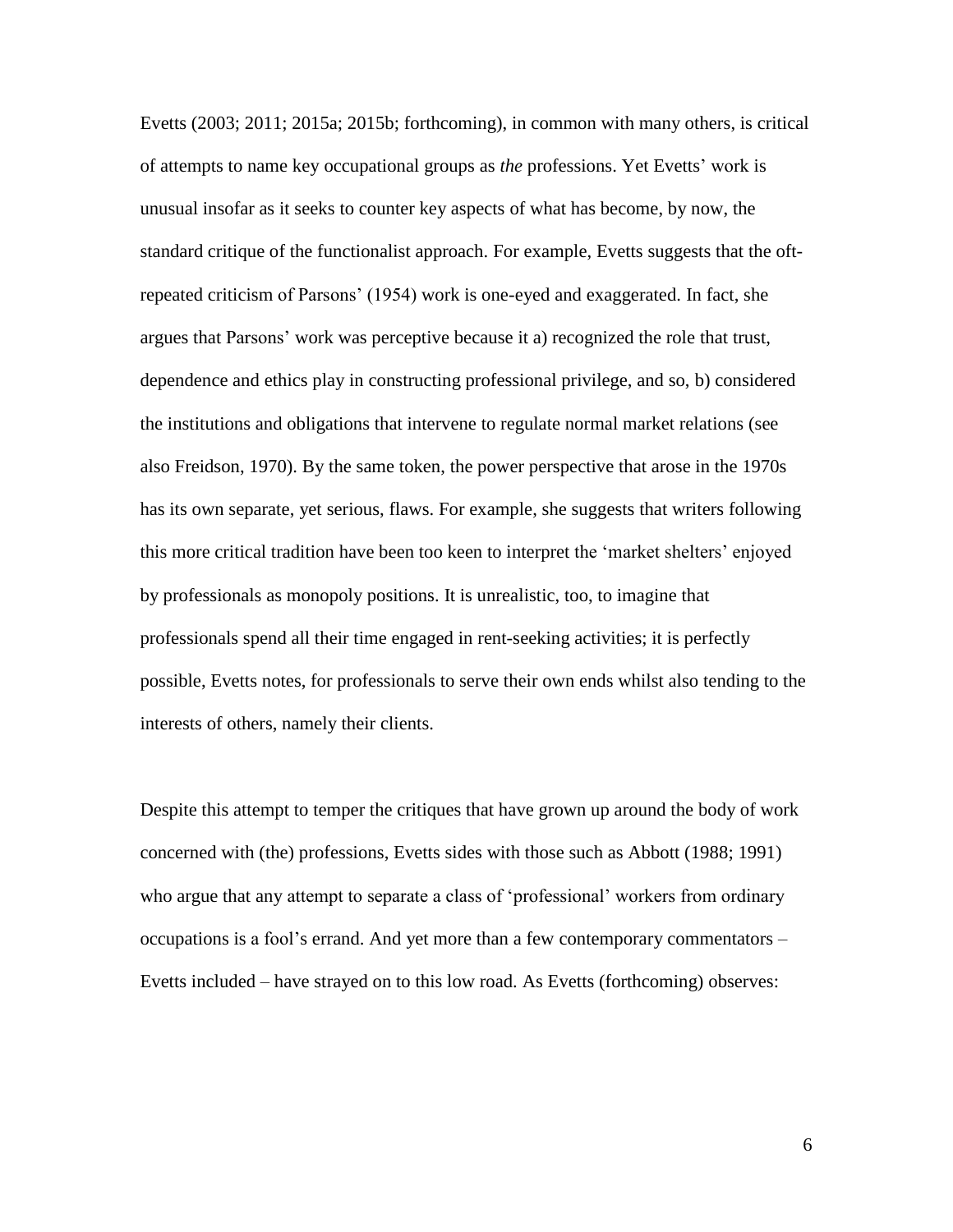Evetts (2003; 2011; 2015a; 2015b; forthcoming), in common with many others, is critical of attempts to name key occupational groups as *the* professions. Yet Evetts' work is unusual insofar as it seeks to counter key aspects of what has become, by now, the standard critique of the functionalist approach. For example, Evetts suggests that the oftrepeated criticism of Parsons' (1954) work is one-eyed and exaggerated. In fact, she argues that Parsons' work was perceptive because it a) recognized the role that trust, dependence and ethics play in constructing professional privilege, and so, b) considered the institutions and obligations that intervene to regulate normal market relations (see also Freidson, 1970). By the same token, the power perspective that arose in the 1970s has its own separate, yet serious, flaws. For example, she suggests that writers following this more critical tradition have been too keen to interpret the 'market shelters' enjoyed by professionals as monopoly positions. It is unrealistic, too, to imagine that professionals spend all their time engaged in rent-seeking activities; it is perfectly possible, Evetts notes, for professionals to serve their own ends whilst also tending to the interests of others, namely their clients.

Despite this attempt to temper the critiques that have grown up around the body of work concerned with (the) professions, Evetts sides with those such as Abbott (1988; 1991) who argue that any attempt to separate a class of 'professional' workers from ordinary occupations is a fool's errand. And yet more than a few contemporary commentators – Evetts included – have strayed on to this low road. As Evetts (forthcoming) observes: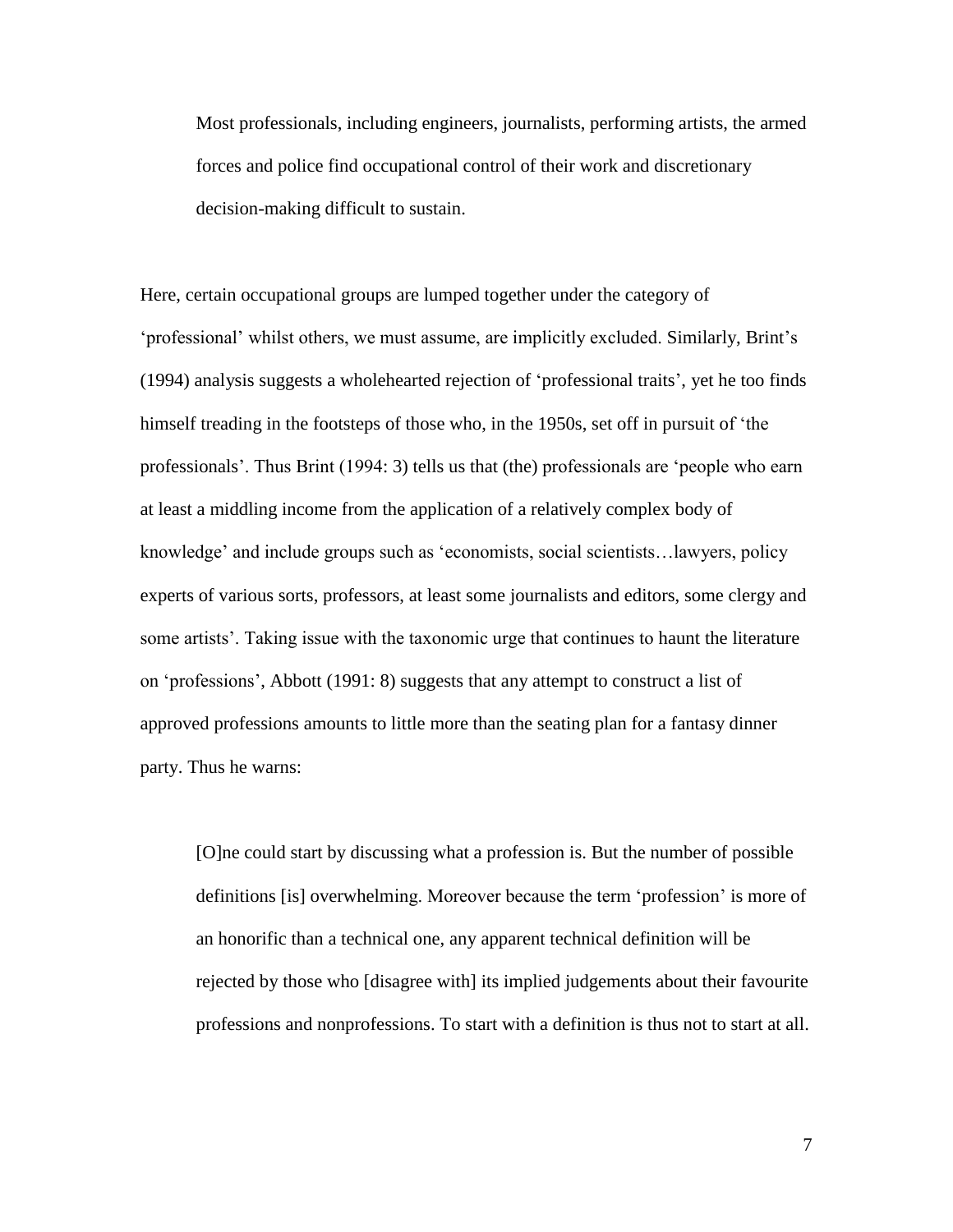Most professionals, including engineers, journalists, performing artists, the armed forces and police find occupational control of their work and discretionary decision-making difficult to sustain.

Here, certain occupational groups are lumped together under the category of 'professional' whilst others, we must assume, are implicitly excluded. Similarly, Brint's (1994) analysis suggests a wholehearted rejection of 'professional traits', yet he too finds himself treading in the footsteps of those who, in the 1950s, set off in pursuit of 'the professionals'. Thus Brint (1994: 3) tells us that (the) professionals are 'people who earn at least a middling income from the application of a relatively complex body of knowledge' and include groups such as 'economists, social scientists…lawyers, policy experts of various sorts, professors, at least some journalists and editors, some clergy and some artists'. Taking issue with the taxonomic urge that continues to haunt the literature on 'professions', Abbott (1991: 8) suggests that any attempt to construct a list of approved professions amounts to little more than the seating plan for a fantasy dinner party. Thus he warns:

[O]ne could start by discussing what a profession is. But the number of possible definitions [is] overwhelming. Moreover because the term 'profession' is more of an honorific than a technical one, any apparent technical definition will be rejected by those who [disagree with] its implied judgements about their favourite professions and nonprofessions. To start with a definition is thus not to start at all.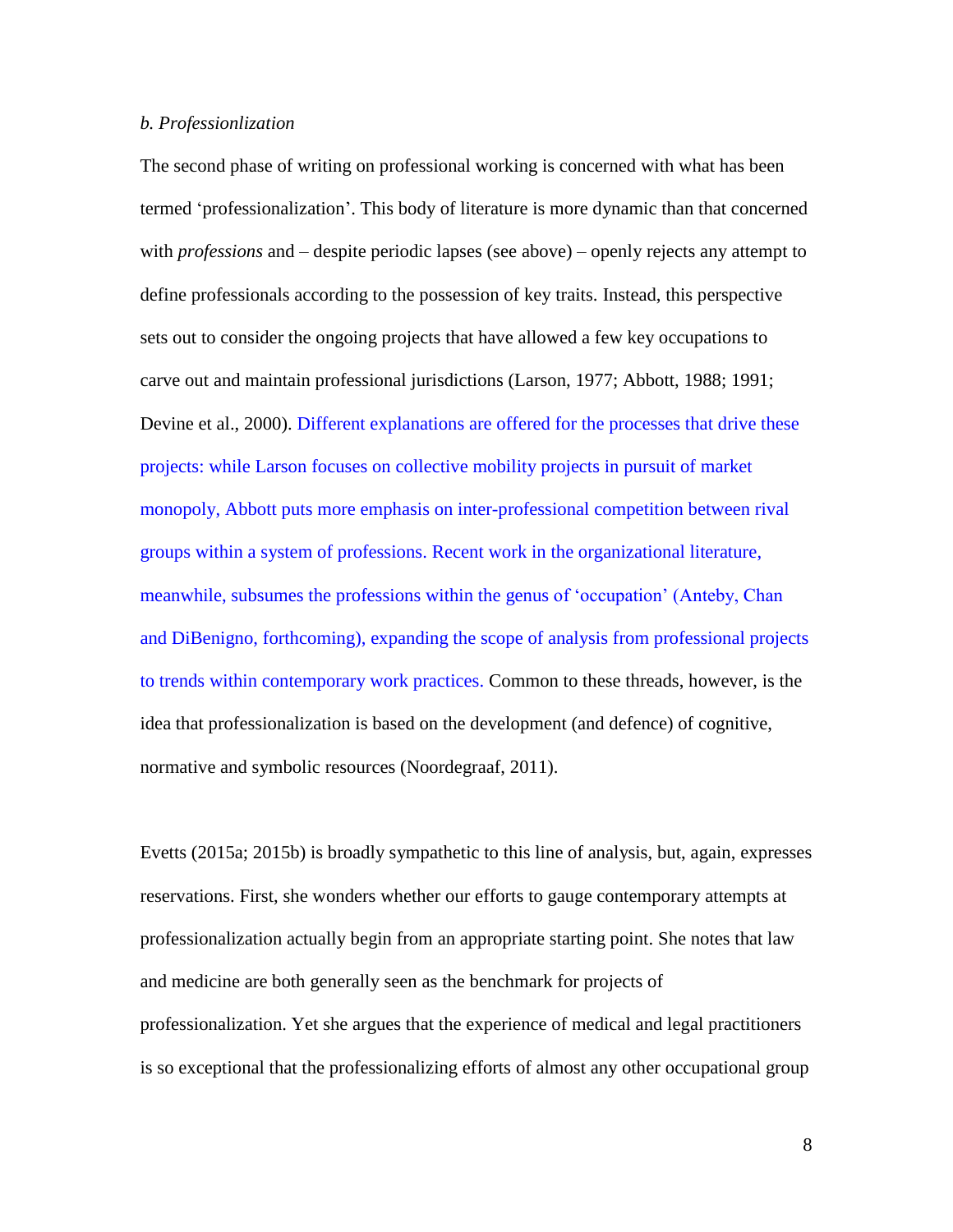# *b. Professionlization*

The second phase of writing on professional working is concerned with what has been termed 'professionalization'. This body of literature is more dynamic than that concerned with *professions* and – despite periodic lapses (see above) – openly rejects any attempt to define professionals according to the possession of key traits. Instead, this perspective sets out to consider the ongoing projects that have allowed a few key occupations to carve out and maintain professional jurisdictions (Larson, 1977; Abbott, 1988; 1991; Devine et al., 2000). Different explanations are offered for the processes that drive these projects: while Larson focuses on collective mobility projects in pursuit of market monopoly, Abbott puts more emphasis on inter-professional competition between rival groups within a system of professions. Recent work in the organizational literature, meanwhile, subsumes the professions within the genus of 'occupation' (Anteby, Chan and DiBenigno, forthcoming), expanding the scope of analysis from professional projects to trends within contemporary work practices. Common to these threads, however, is the idea that professionalization is based on the development (and defence) of cognitive, normative and symbolic resources (Noordegraaf, 2011).

Evetts (2015a; 2015b) is broadly sympathetic to this line of analysis, but, again, expresses reservations. First, she wonders whether our efforts to gauge contemporary attempts at professionalization actually begin from an appropriate starting point. She notes that law and medicine are both generally seen as the benchmark for projects of professionalization. Yet she argues that the experience of medical and legal practitioners is so exceptional that the professionalizing efforts of almost any other occupational group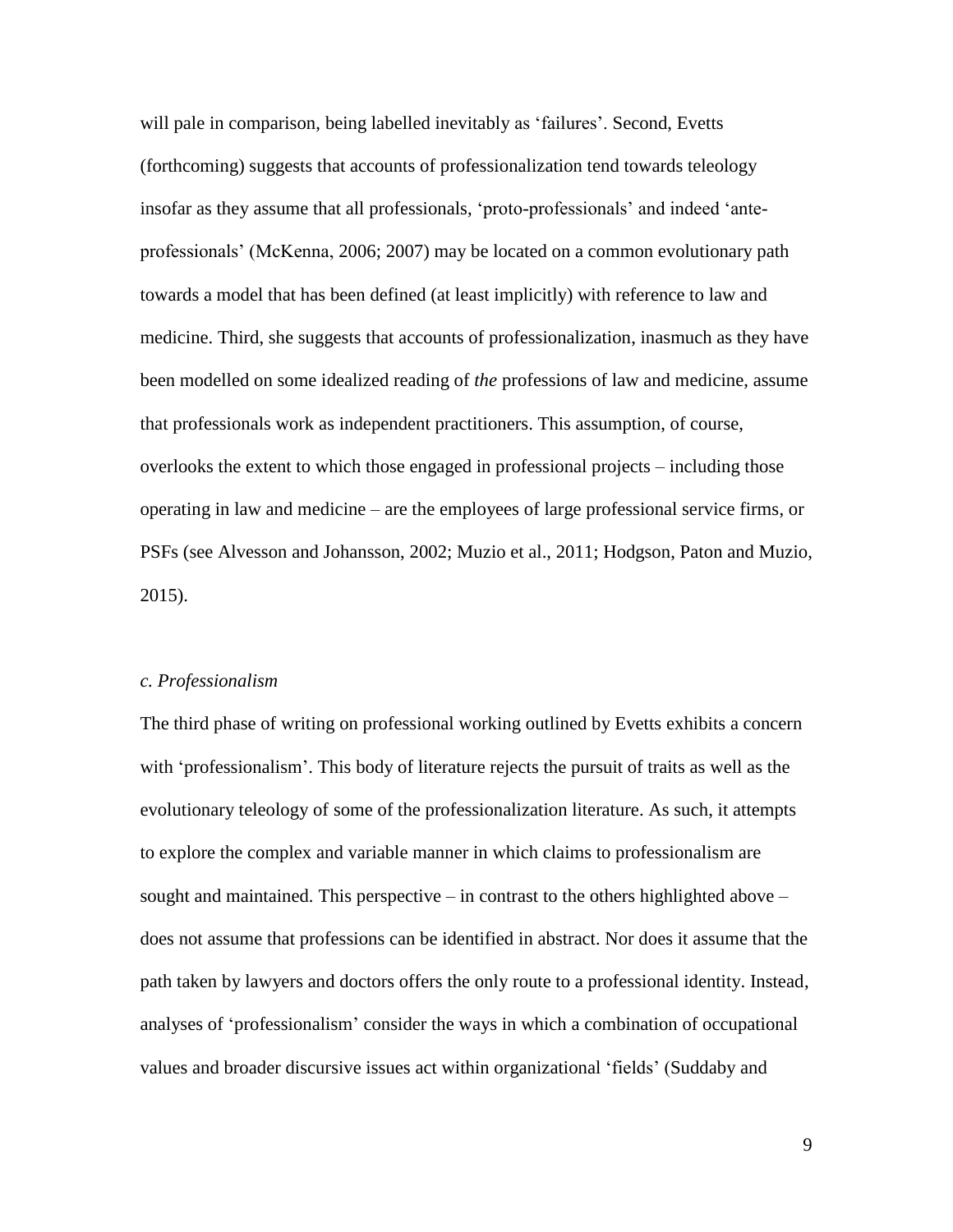will pale in comparison, being labelled inevitably as 'failures'. Second, Evetts (forthcoming) suggests that accounts of professionalization tend towards teleology insofar as they assume that all professionals, 'proto-professionals' and indeed 'anteprofessionals' (McKenna, 2006; 2007) may be located on a common evolutionary path towards a model that has been defined (at least implicitly) with reference to law and medicine. Third, she suggests that accounts of professionalization, inasmuch as they have been modelled on some idealized reading of *the* professions of law and medicine, assume that professionals work as independent practitioners. This assumption, of course, overlooks the extent to which those engaged in professional projects – including those operating in law and medicine – are the employees of large professional service firms, or PSFs (see Alvesson and Johansson, 2002; Muzio et al., 2011; Hodgson, Paton and Muzio, 2015).

#### *c. Professionalism*

The third phase of writing on professional working outlined by Evetts exhibits a concern with 'professionalism'. This body of literature rejects the pursuit of traits as well as the evolutionary teleology of some of the professionalization literature. As such, it attempts to explore the complex and variable manner in which claims to professionalism are sought and maintained. This perspective – in contrast to the others highlighted above – does not assume that professions can be identified in abstract. Nor does it assume that the path taken by lawyers and doctors offers the only route to a professional identity. Instead, analyses of 'professionalism' consider the ways in which a combination of occupational values and broader discursive issues act within organizational 'fields' (Suddaby and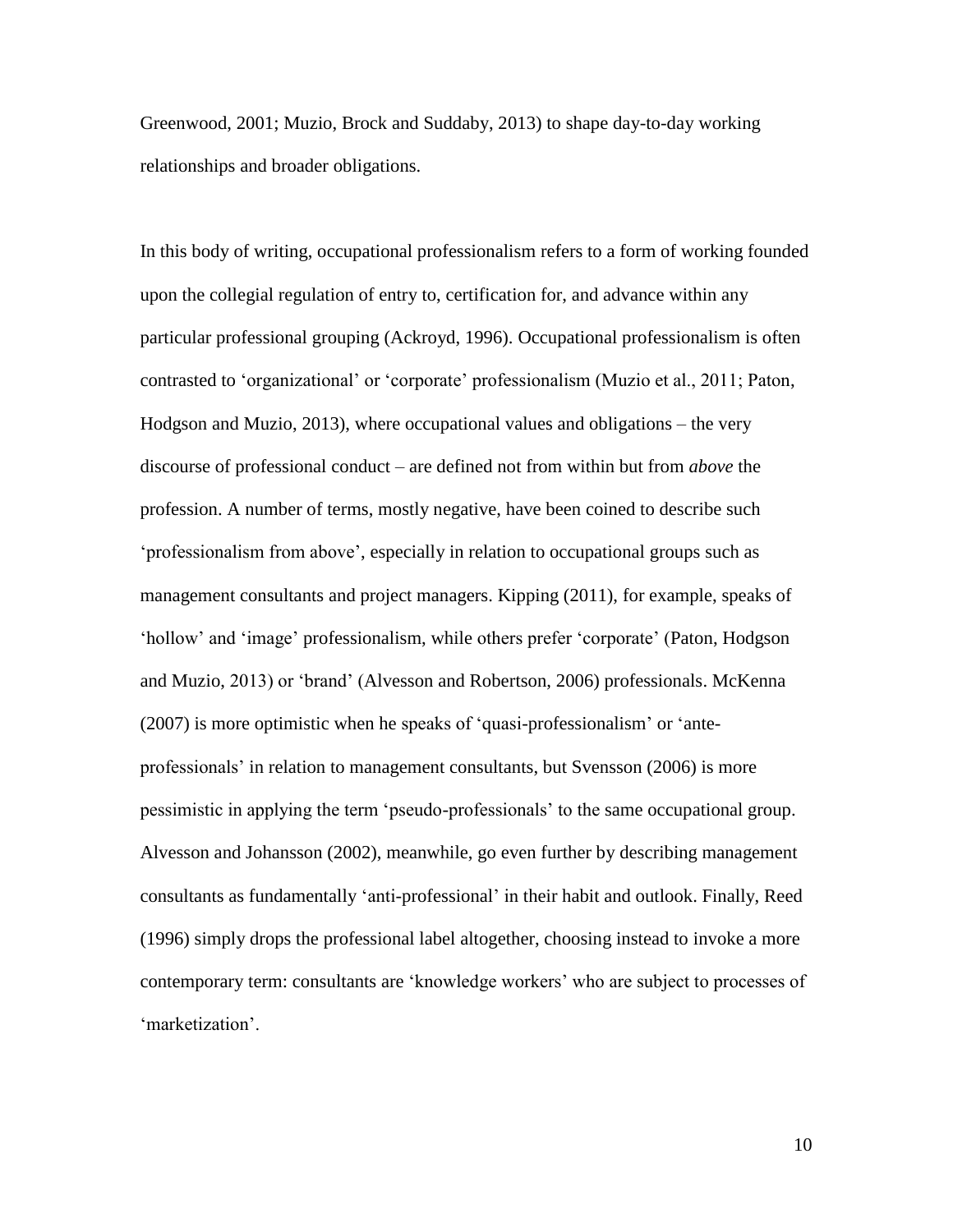Greenwood, 2001; Muzio, Brock and Suddaby, 2013) to shape day-to-day working relationships and broader obligations.

In this body of writing, occupational professionalism refers to a form of working founded upon the collegial regulation of entry to, certification for, and advance within any particular professional grouping (Ackroyd, 1996). Occupational professionalism is often contrasted to 'organizational' or 'corporate' professionalism (Muzio et al., 2011; Paton, Hodgson and Muzio, 2013), where occupational values and obligations – the very discourse of professional conduct – are defined not from within but from *above* the profession. A number of terms, mostly negative, have been coined to describe such 'professionalism from above', especially in relation to occupational groups such as management consultants and project managers. Kipping (2011), for example, speaks of 'hollow' and 'image' professionalism, while others prefer 'corporate' (Paton, Hodgson and Muzio, 2013) or 'brand' (Alvesson and Robertson, 2006) professionals. McKenna (2007) is more optimistic when he speaks of 'quasi-professionalism' or 'anteprofessionals' in relation to management consultants, but Svensson (2006) is more pessimistic in applying the term 'pseudo-professionals' to the same occupational group. Alvesson and Johansson (2002), meanwhile, go even further by describing management consultants as fundamentally 'anti-professional' in their habit and outlook. Finally, Reed (1996) simply drops the professional label altogether, choosing instead to invoke a more contemporary term: consultants are 'knowledge workers' who are subject to processes of 'marketization'.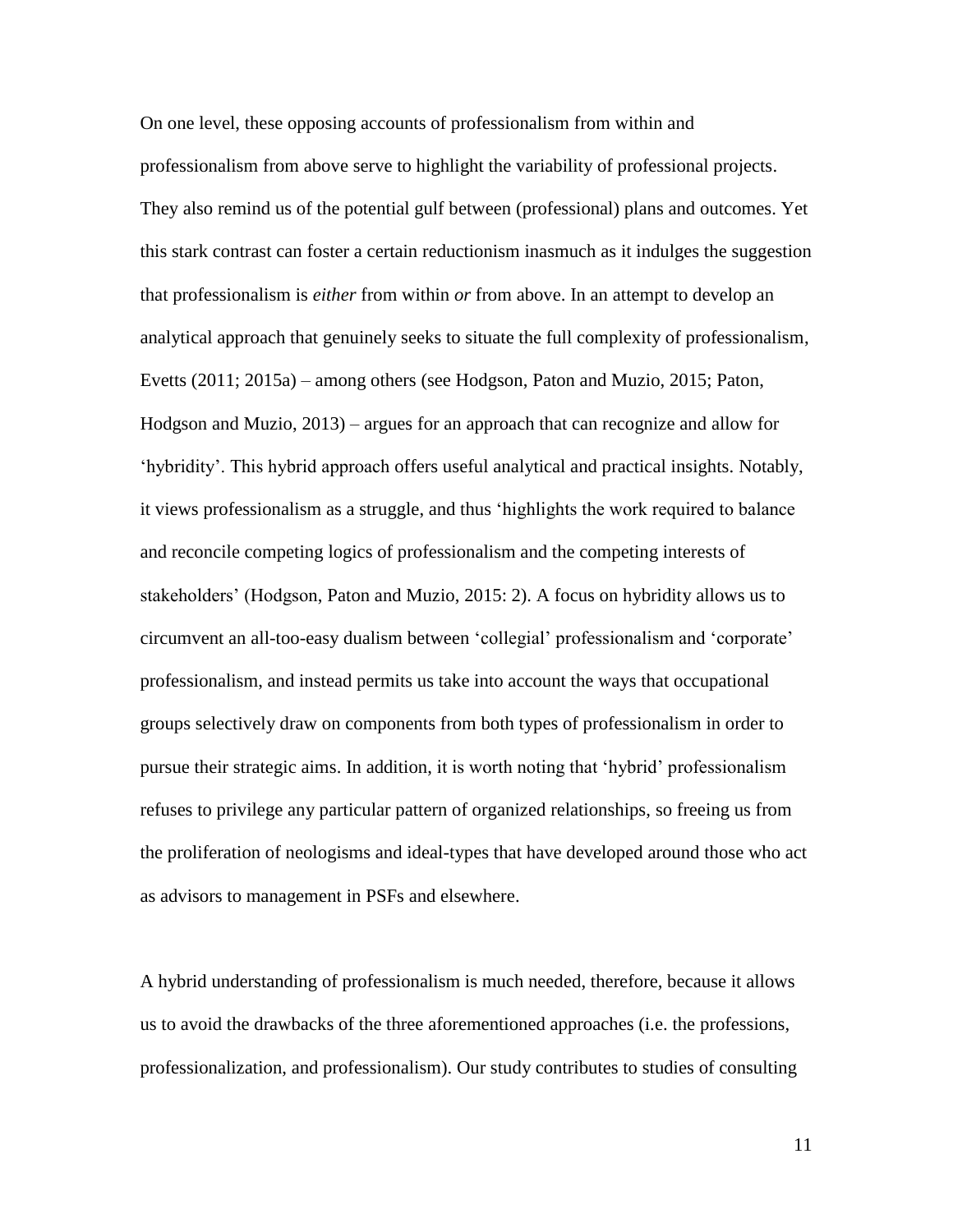On one level, these opposing accounts of professionalism from within and professionalism from above serve to highlight the variability of professional projects. They also remind us of the potential gulf between (professional) plans and outcomes. Yet this stark contrast can foster a certain reductionism inasmuch as it indulges the suggestion that professionalism is *either* from within *or* from above. In an attempt to develop an analytical approach that genuinely seeks to situate the full complexity of professionalism, Evetts (2011; 2015a) – among others (see Hodgson, Paton and Muzio, 2015; Paton, Hodgson and Muzio, 2013) – argues for an approach that can recognize and allow for 'hybridity'. This hybrid approach offers useful analytical and practical insights. Notably, it views professionalism as a struggle, and thus 'highlights the work required to balance and reconcile competing logics of professionalism and the competing interests of stakeholders' (Hodgson, Paton and Muzio, 2015: 2). A focus on hybridity allows us to circumvent an all-too-easy dualism between 'collegial' professionalism and 'corporate' professionalism, and instead permits us take into account the ways that occupational groups selectively draw on components from both types of professionalism in order to pursue their strategic aims. In addition, it is worth noting that 'hybrid' professionalism refuses to privilege any particular pattern of organized relationships, so freeing us from the proliferation of neologisms and ideal-types that have developed around those who act as advisors to management in PSFs and elsewhere.

A hybrid understanding of professionalism is much needed, therefore, because it allows us to avoid the drawbacks of the three aforementioned approaches (i.e. the professions, professionalization, and professionalism). Our study contributes to studies of consulting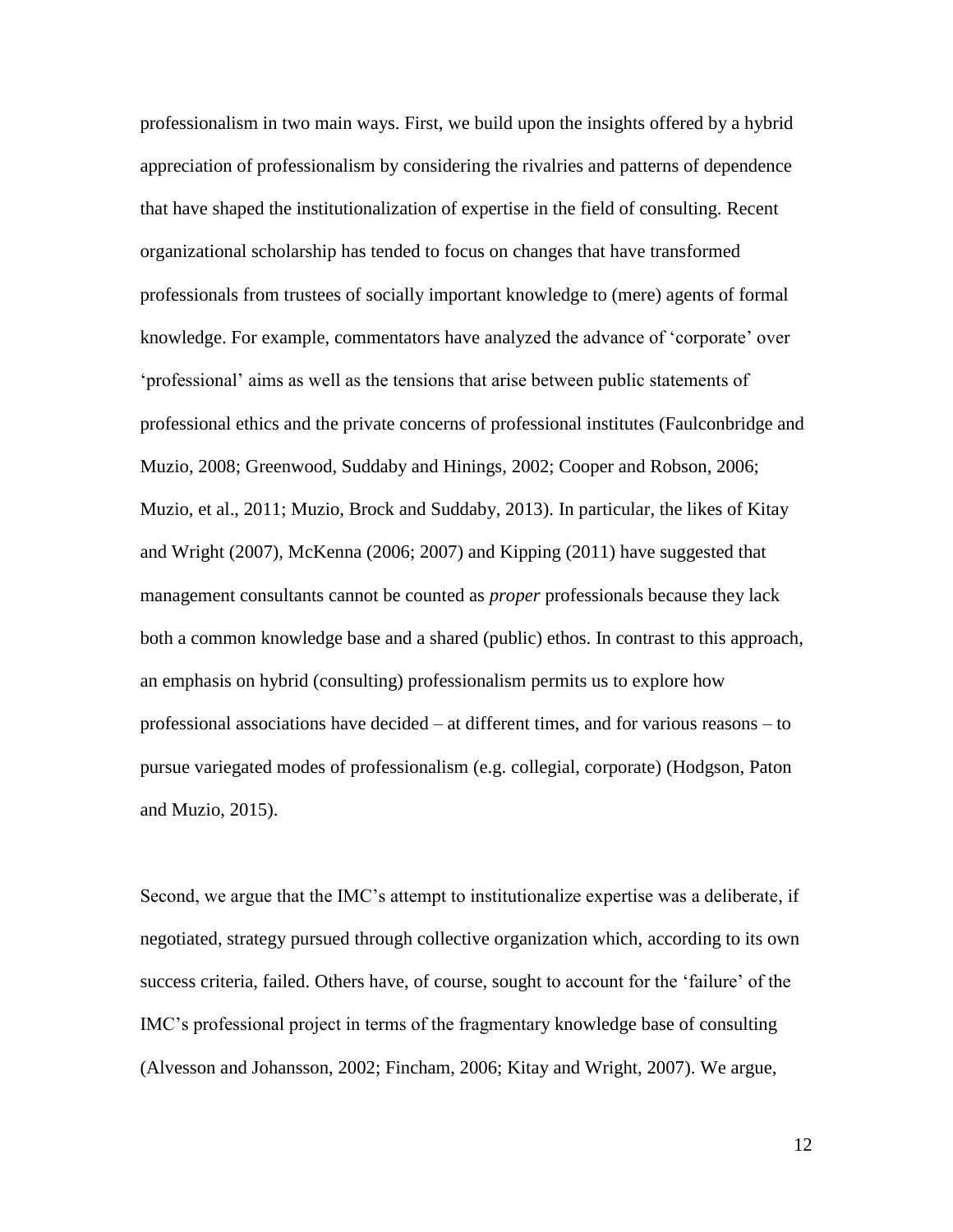professionalism in two main ways. First, we build upon the insights offered by a hybrid appreciation of professionalism by considering the rivalries and patterns of dependence that have shaped the institutionalization of expertise in the field of consulting. Recent organizational scholarship has tended to focus on changes that have transformed professionals from trustees of socially important knowledge to (mere) agents of formal knowledge. For example, commentators have analyzed the advance of 'corporate' over 'professional' aims as well as the tensions that arise between public statements of professional ethics and the private concerns of professional institutes (Faulconbridge and Muzio, 2008; Greenwood, Suddaby and Hinings, 2002; Cooper and Robson, 2006; Muzio, et al., 2011; Muzio, Brock and Suddaby, 2013). In particular, the likes of Kitay and Wright (2007), McKenna (2006; 2007) and Kipping (2011) have suggested that management consultants cannot be counted as *proper* professionals because they lack both a common knowledge base and a shared (public) ethos. In contrast to this approach, an emphasis on hybrid (consulting) professionalism permits us to explore how professional associations have decided – at different times, and for various reasons – to pursue variegated modes of professionalism (e.g. collegial, corporate) (Hodgson, Paton and Muzio, 2015).

Second, we argue that the IMC's attempt to institutionalize expertise was a deliberate, if negotiated, strategy pursued through collective organization which, according to its own success criteria, failed. Others have, of course, sought to account for the 'failure' of the IMC's professional project in terms of the fragmentary knowledge base of consulting (Alvesson and Johansson, 2002; Fincham, 2006; Kitay and Wright, 2007). We argue,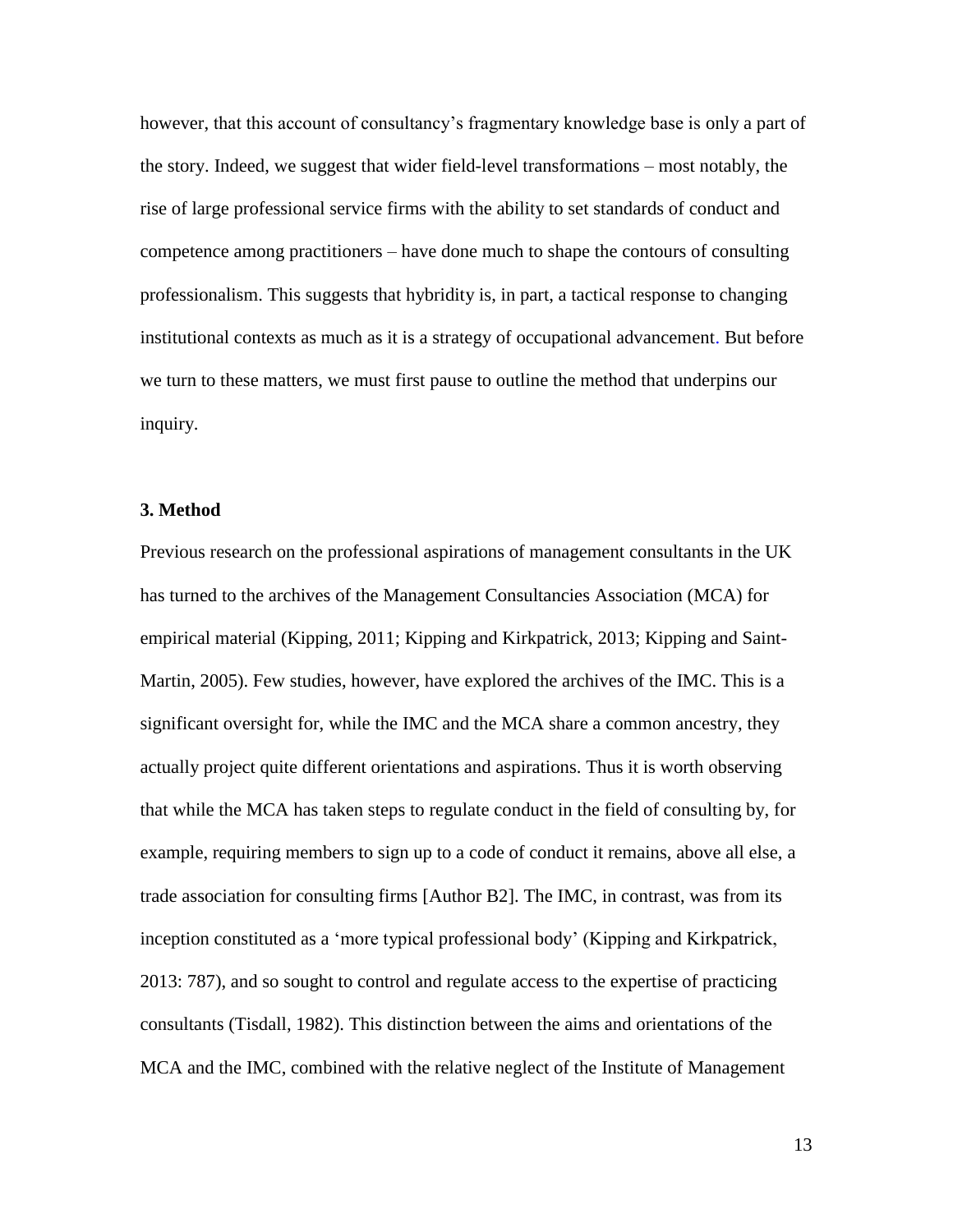however, that this account of consultancy's fragmentary knowledge base is only a part of the story. Indeed, we suggest that wider field-level transformations – most notably, the rise of large professional service firms with the ability to set standards of conduct and competence among practitioners – have done much to shape the contours of consulting professionalism. This suggests that hybridity is, in part, a tactical response to changing institutional contexts as much as it is a strategy of occupational advancement. But before we turn to these matters, we must first pause to outline the method that underpins our inquiry.

# **3. Method**

Previous research on the professional aspirations of management consultants in the UK has turned to the archives of the Management Consultancies Association (MCA) for empirical material (Kipping, 2011; Kipping and Kirkpatrick, 2013; Kipping and Saint-Martin, 2005). Few studies, however, have explored the archives of the IMC. This is a significant oversight for, while the IMC and the MCA share a common ancestry, they actually project quite different orientations and aspirations. Thus it is worth observing that while the MCA has taken steps to regulate conduct in the field of consulting by, for example, requiring members to sign up to a code of conduct it remains, above all else, a trade association for consulting firms [Author B2]. The IMC, in contrast, was from its inception constituted as a 'more typical professional body' (Kipping and Kirkpatrick, 2013: 787), and so sought to control and regulate access to the expertise of practicing consultants (Tisdall, 1982). This distinction between the aims and orientations of the MCA and the IMC, combined with the relative neglect of the Institute of Management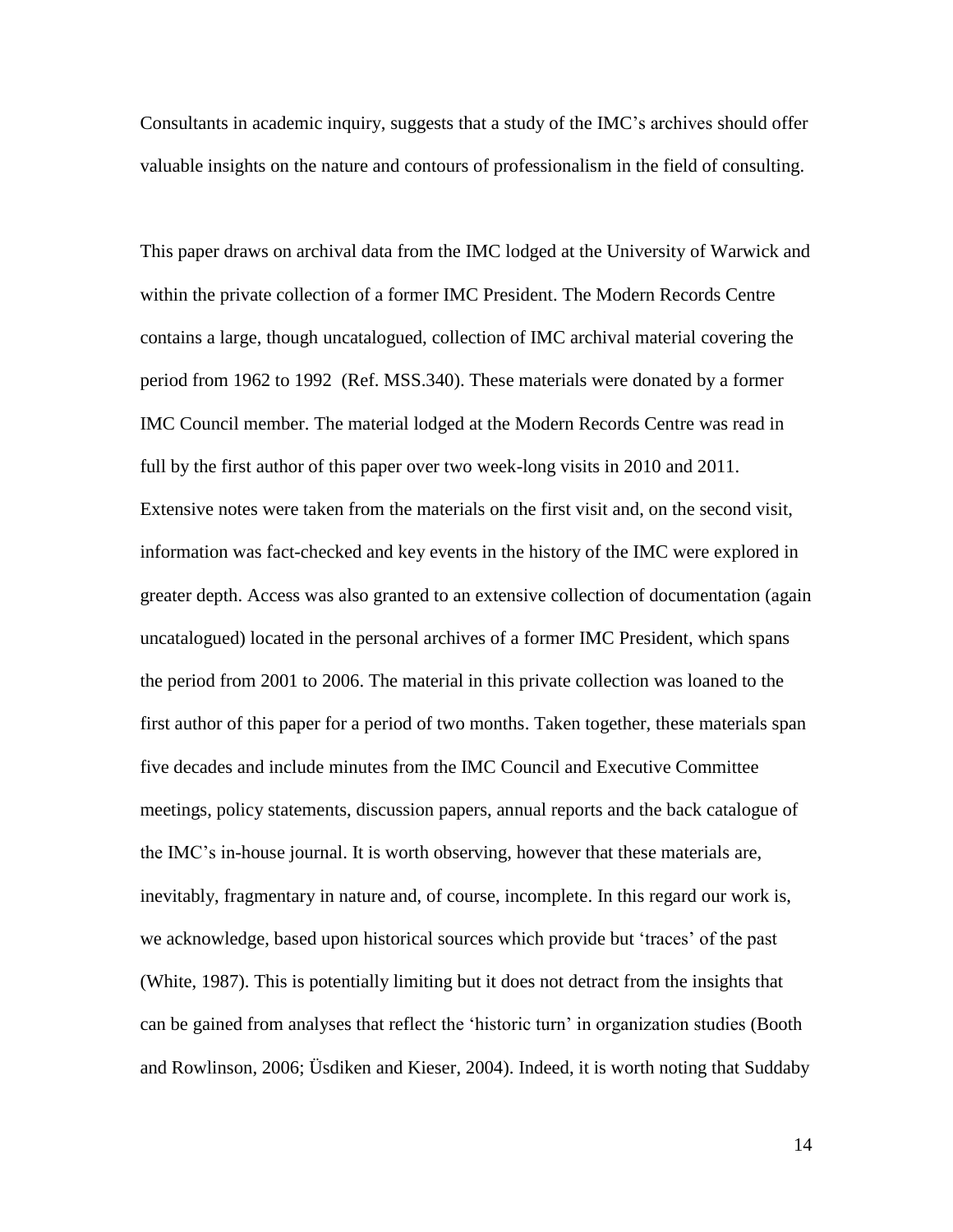Consultants in academic inquiry, suggests that a study of the IMC's archives should offer valuable insights on the nature and contours of professionalism in the field of consulting.

This paper draws on archival data from the IMC lodged at the University of Warwick and within the private collection of a former IMC President. The Modern Records Centre contains a large, though uncatalogued, collection of IMC archival material covering the period from 1962 to 1992 (Ref. MSS.340). These materials were donated by a former IMC Council member. The material lodged at the Modern Records Centre was read in full by the first author of this paper over two week-long visits in 2010 and 2011. Extensive notes were taken from the materials on the first visit and, on the second visit, information was fact-checked and key events in the history of the IMC were explored in greater depth. Access was also granted to an extensive collection of documentation (again uncatalogued) located in the personal archives of a former IMC President, which spans the period from 2001 to 2006. The material in this private collection was loaned to the first author of this paper for a period of two months. Taken together, these materials span five decades and include minutes from the IMC Council and Executive Committee meetings, policy statements, discussion papers, annual reports and the back catalogue of the IMC's in-house journal. It is worth observing, however that these materials are, inevitably, fragmentary in nature and, of course, incomplete. In this regard our work is, we acknowledge, based upon historical sources which provide but 'traces' of the past (White, 1987). This is potentially limiting but it does not detract from the insights that can be gained from analyses that reflect the 'historic turn' in organization studies (Booth and Rowlinson, 2006; Üsdiken and Kieser, 2004). Indeed, it is worth noting that Suddaby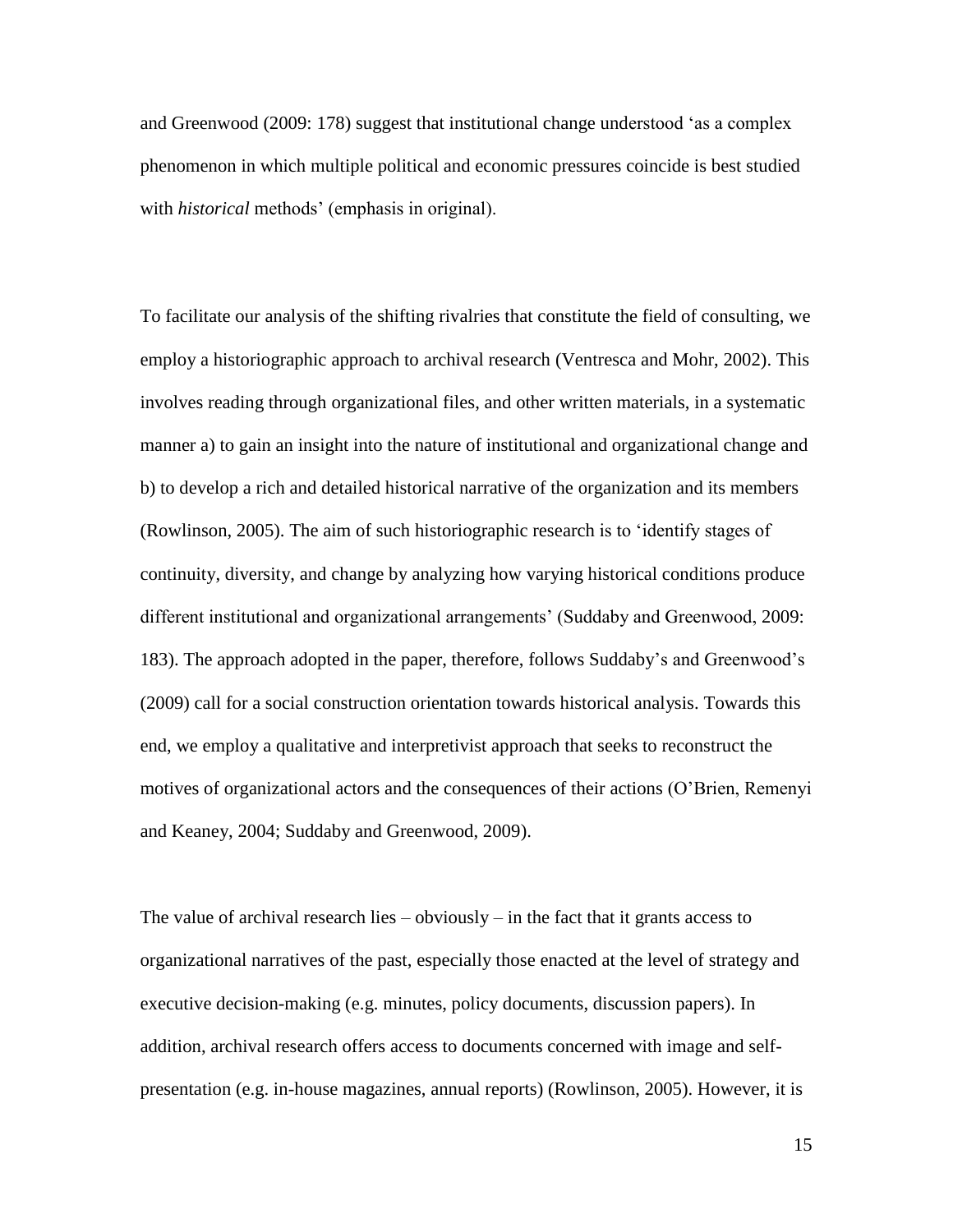and Greenwood (2009: 178) suggest that institutional change understood 'as a complex phenomenon in which multiple political and economic pressures coincide is best studied with *historical* methods' (emphasis in original).

To facilitate our analysis of the shifting rivalries that constitute the field of consulting, we employ a historiographic approach to archival research (Ventresca and Mohr, 2002). This involves reading through organizational files, and other written materials, in a systematic manner a) to gain an insight into the nature of institutional and organizational change and b) to develop a rich and detailed historical narrative of the organization and its members (Rowlinson, 2005). The aim of such historiographic research is to 'identify stages of continuity, diversity, and change by analyzing how varying historical conditions produce different institutional and organizational arrangements' (Suddaby and Greenwood, 2009: 183). The approach adopted in the paper, therefore, follows Suddaby's and Greenwood's (2009) call for a social construction orientation towards historical analysis. Towards this end, we employ a qualitative and interpretivist approach that seeks to reconstruct the motives of organizational actors and the consequences of their actions (O'Brien, Remenyi and Keaney, 2004; Suddaby and Greenwood, 2009).

The value of archival research lies  $-$  obviously  $-$  in the fact that it grants access to organizational narratives of the past, especially those enacted at the level of strategy and executive decision-making (e.g. minutes, policy documents, discussion papers). In addition, archival research offers access to documents concerned with image and selfpresentation (e.g. in-house magazines, annual reports) (Rowlinson, 2005). However, it is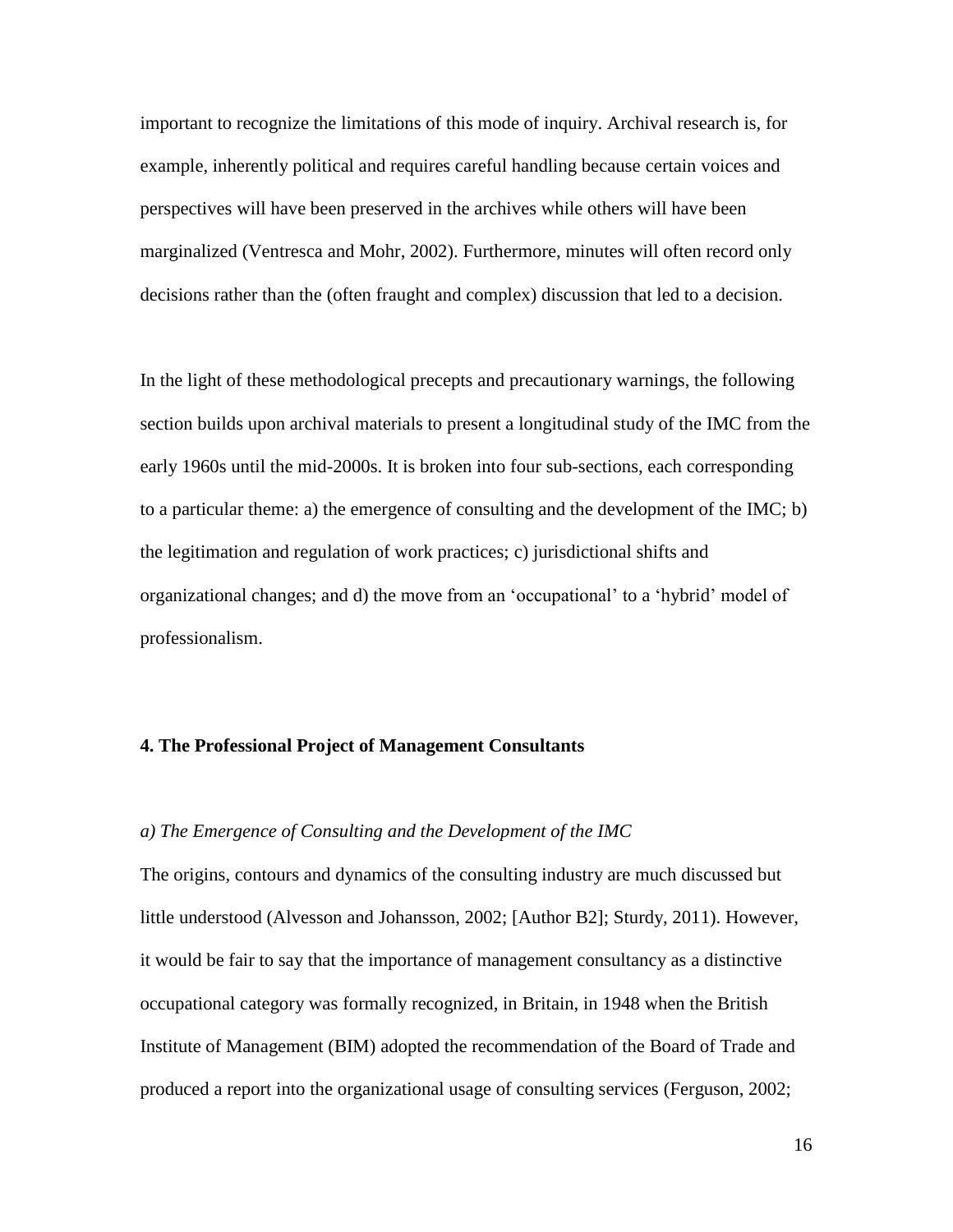important to recognize the limitations of this mode of inquiry. Archival research is, for example, inherently political and requires careful handling because certain voices and perspectives will have been preserved in the archives while others will have been marginalized (Ventresca and Mohr, 2002). Furthermore, minutes will often record only decisions rather than the (often fraught and complex) discussion that led to a decision.

In the light of these methodological precepts and precautionary warnings, the following section builds upon archival materials to present a longitudinal study of the IMC from the early 1960s until the mid-2000s. It is broken into four sub-sections, each corresponding to a particular theme: a) the emergence of consulting and the development of the IMC; b) the legitimation and regulation of work practices; c) jurisdictional shifts and organizational changes; and d) the move from an 'occupational' to a 'hybrid' model of professionalism.

#### **4. The Professional Project of Management Consultants**

## *a) The Emergence of Consulting and the Development of the IMC*

The origins, contours and dynamics of the consulting industry are much discussed but little understood (Alvesson and Johansson, 2002; [Author B2]; Sturdy, 2011). However, it would be fair to say that the importance of management consultancy as a distinctive occupational category was formally recognized, in Britain, in 1948 when the British Institute of Management (BIM) adopted the recommendation of the Board of Trade and produced a report into the organizational usage of consulting services (Ferguson, 2002;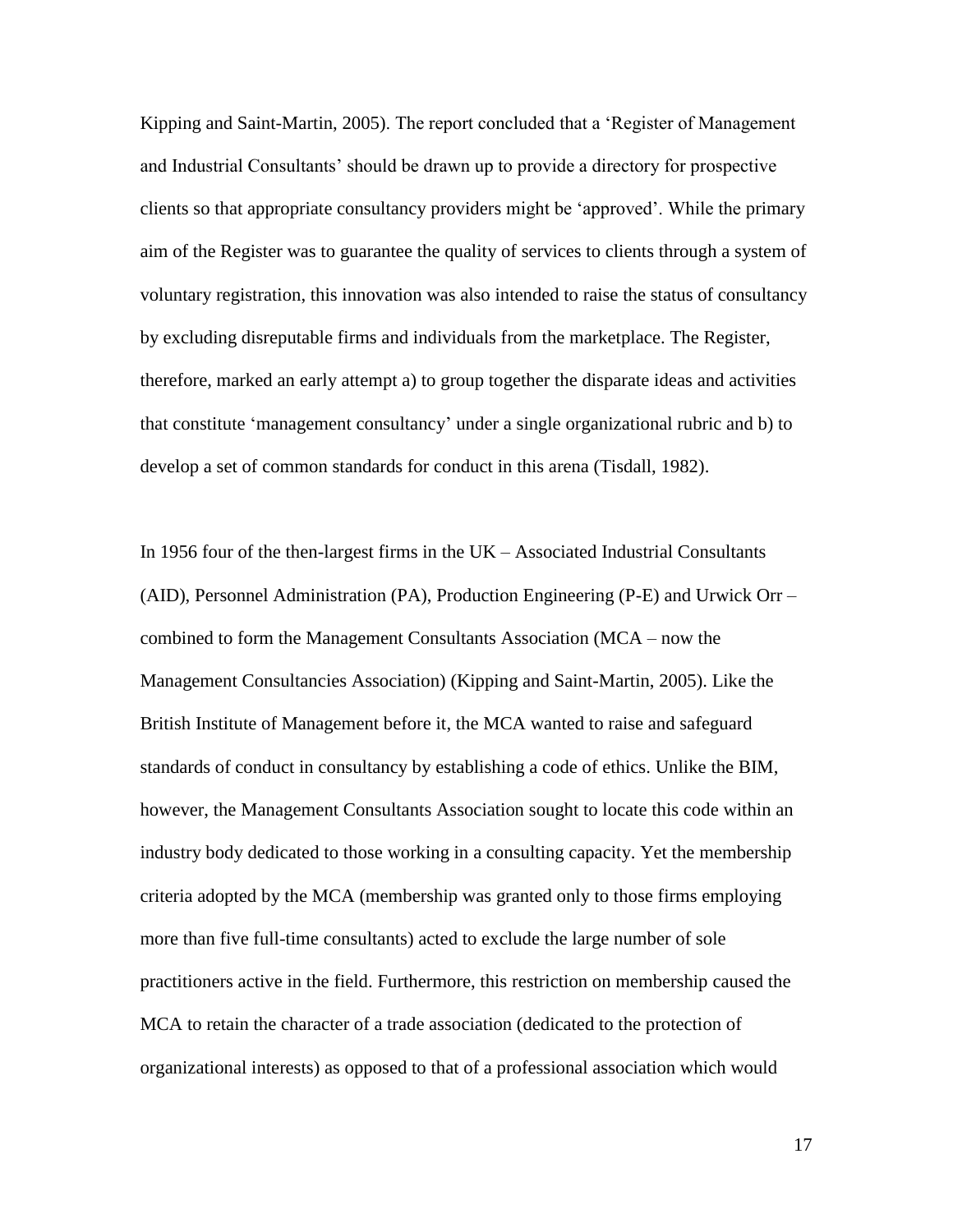Kipping and Saint-Martin, 2005). The report concluded that a 'Register of Management and Industrial Consultants' should be drawn up to provide a directory for prospective clients so that appropriate consultancy providers might be 'approved'. While the primary aim of the Register was to guarantee the quality of services to clients through a system of voluntary registration, this innovation was also intended to raise the status of consultancy by excluding disreputable firms and individuals from the marketplace. The Register, therefore, marked an early attempt a) to group together the disparate ideas and activities that constitute 'management consultancy' under a single organizational rubric and b) to develop a set of common standards for conduct in this arena (Tisdall, 1982).

In 1956 four of the then-largest firms in the UK – Associated Industrial Consultants (AID), Personnel Administration (PA), Production Engineering (P-E) and Urwick Orr – combined to form the Management Consultants Association (MCA – now the Management Consultancies Association) (Kipping and Saint-Martin, 2005). Like the British Institute of Management before it, the MCA wanted to raise and safeguard standards of conduct in consultancy by establishing a code of ethics. Unlike the BIM, however, the Management Consultants Association sought to locate this code within an industry body dedicated to those working in a consulting capacity. Yet the membership criteria adopted by the MCA (membership was granted only to those firms employing more than five full-time consultants) acted to exclude the large number of sole practitioners active in the field. Furthermore, this restriction on membership caused the MCA to retain the character of a trade association (dedicated to the protection of organizational interests) as opposed to that of a professional association which would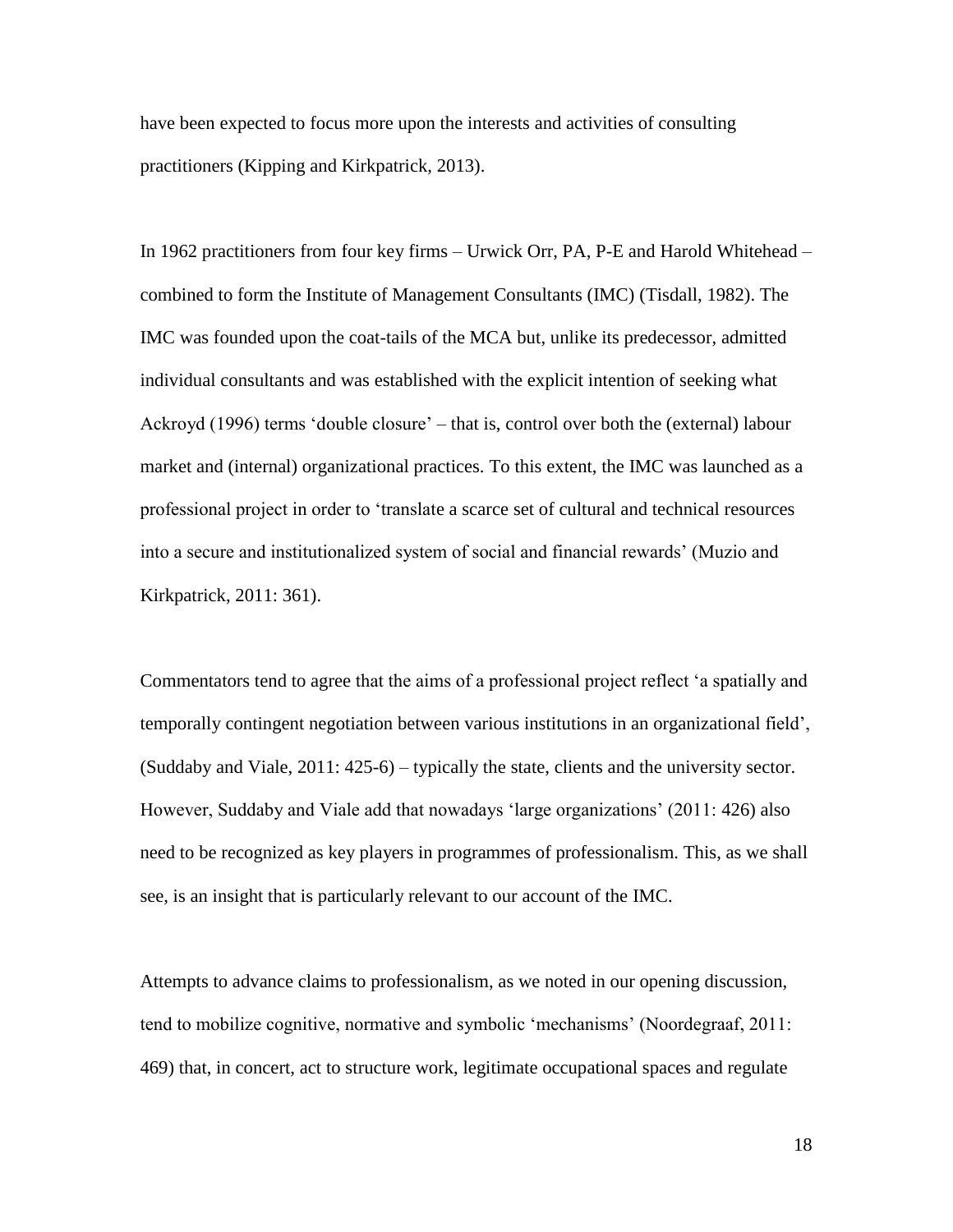have been expected to focus more upon the interests and activities of consulting practitioners (Kipping and Kirkpatrick, 2013).

In 1962 practitioners from four key firms – Urwick Orr, PA, P-E and Harold Whitehead – combined to form the Institute of Management Consultants (IMC) (Tisdall, 1982). The IMC was founded upon the coat-tails of the MCA but, unlike its predecessor, admitted individual consultants and was established with the explicit intention of seeking what Ackroyd (1996) terms 'double closure' – that is, control over both the (external) labour market and (internal) organizational practices. To this extent, the IMC was launched as a professional project in order to 'translate a scarce set of cultural and technical resources into a secure and institutionalized system of social and financial rewards' (Muzio and Kirkpatrick, 2011: 361).

Commentators tend to agree that the aims of a professional project reflect 'a spatially and temporally contingent negotiation between various institutions in an organizational field', (Suddaby and Viale, 2011: 425-6) – typically the state, clients and the university sector. However, Suddaby and Viale add that nowadays 'large organizations' (2011: 426) also need to be recognized as key players in programmes of professionalism. This, as we shall see, is an insight that is particularly relevant to our account of the IMC.

Attempts to advance claims to professionalism, as we noted in our opening discussion, tend to mobilize cognitive, normative and symbolic 'mechanisms' (Noordegraaf, 2011: 469) that, in concert, act to structure work, legitimate occupational spaces and regulate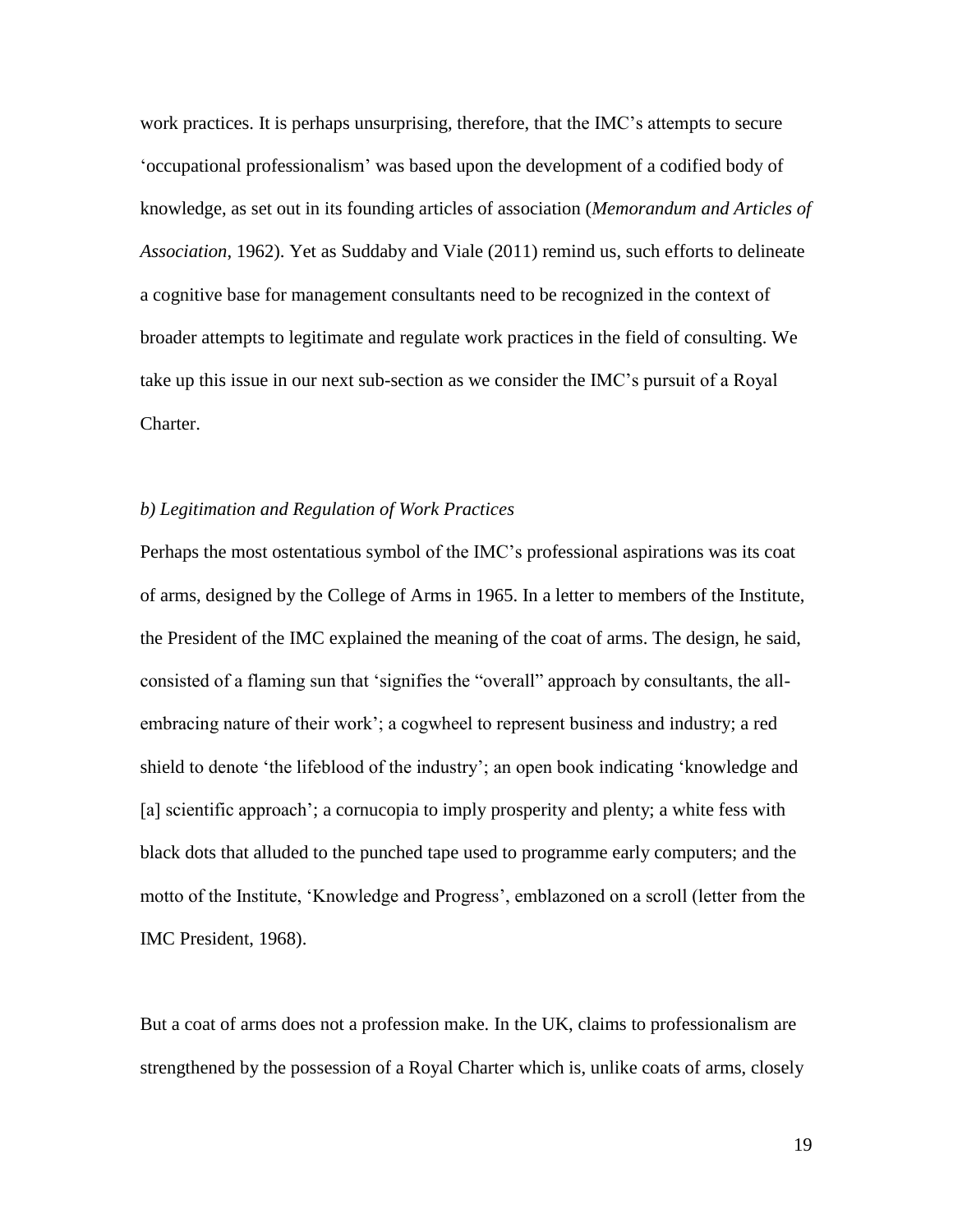work practices. It is perhaps unsurprising, therefore, that the IMC's attempts to secure 'occupational professionalism' was based upon the development of a codified body of knowledge, as set out in its founding articles of association (*Memorandum and Articles of Association*, 1962). Yet as Suddaby and Viale (2011) remind us, such efforts to delineate a cognitive base for management consultants need to be recognized in the context of broader attempts to legitimate and regulate work practices in the field of consulting. We take up this issue in our next sub-section as we consider the IMC's pursuit of a Royal Charter.

#### *b) Legitimation and Regulation of Work Practices*

Perhaps the most ostentatious symbol of the IMC's professional aspirations was its coat of arms, designed by the College of Arms in 1965. In a letter to members of the Institute, the President of the IMC explained the meaning of the coat of arms. The design, he said, consisted of a flaming sun that 'signifies the "overall" approach by consultants, the allembracing nature of their work'; a cogwheel to represent business and industry; a red shield to denote 'the lifeblood of the industry'; an open book indicating 'knowledge and [a] scientific approach'; a cornucopia to imply prosperity and plenty; a white fess with black dots that alluded to the punched tape used to programme early computers; and the motto of the Institute, 'Knowledge and Progress', emblazoned on a scroll (letter from the IMC President, 1968).

But a coat of arms does not a profession make. In the UK, claims to professionalism are strengthened by the possession of a Royal Charter which is, unlike coats of arms, closely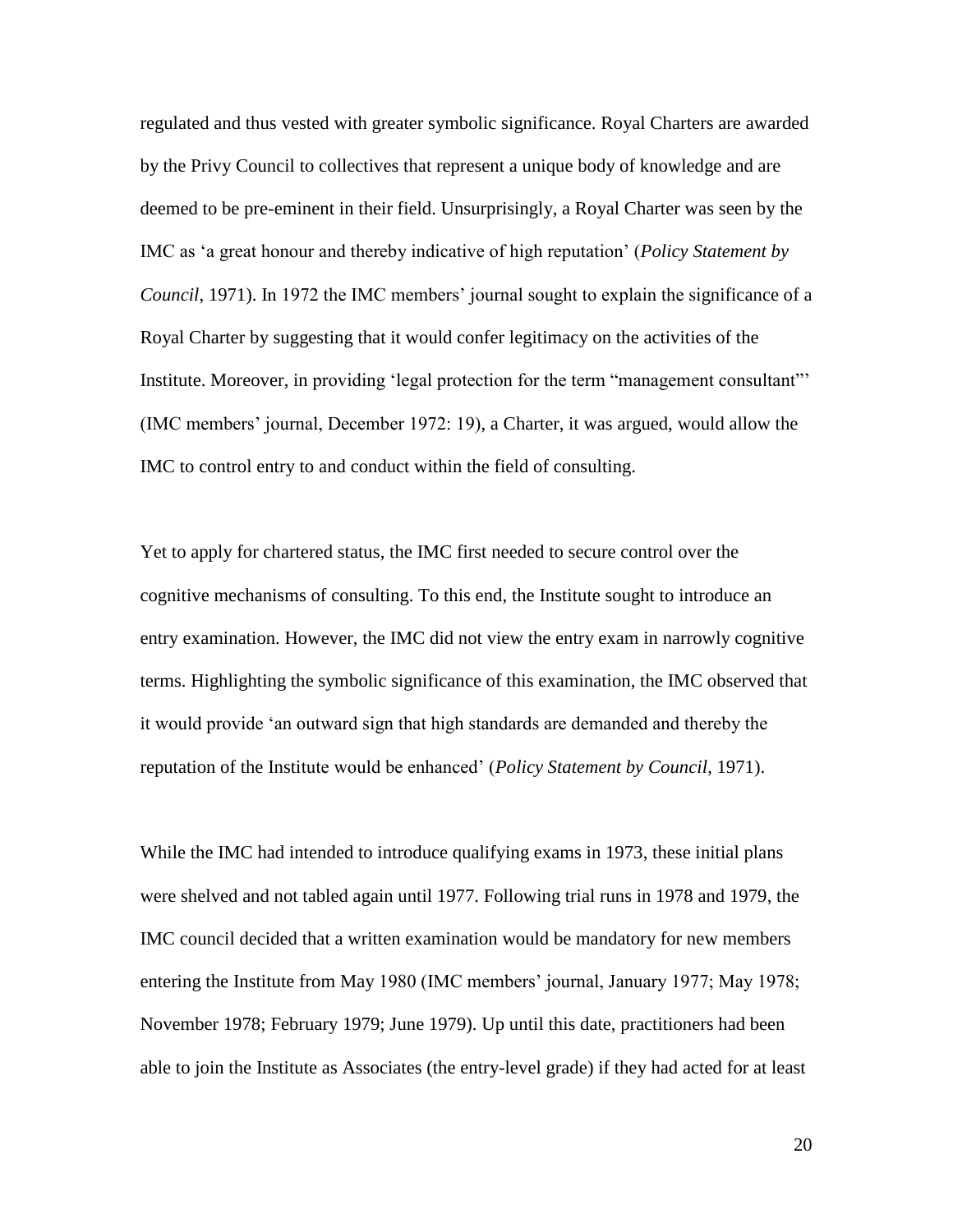regulated and thus vested with greater symbolic significance. Royal Charters are awarded by the Privy Council to collectives that represent a unique body of knowledge and are deemed to be pre-eminent in their field. Unsurprisingly, a Royal Charter was seen by the IMC as 'a great honour and thereby indicative of high reputation' (*Policy Statement by Council*, 1971). In 1972 the IMC members' journal sought to explain the significance of a Royal Charter by suggesting that it would confer legitimacy on the activities of the Institute. Moreover, in providing 'legal protection for the term "management consultant"' (IMC members' journal, December 1972: 19), a Charter, it was argued, would allow the IMC to control entry to and conduct within the field of consulting.

Yet to apply for chartered status, the IMC first needed to secure control over the cognitive mechanisms of consulting. To this end, the Institute sought to introduce an entry examination. However, the IMC did not view the entry exam in narrowly cognitive terms. Highlighting the symbolic significance of this examination, the IMC observed that it would provide 'an outward sign that high standards are demanded and thereby the reputation of the Institute would be enhanced' (*Policy Statement by Council*, 1971).

While the IMC had intended to introduce qualifying exams in 1973, these initial plans were shelved and not tabled again until 1977. Following trial runs in 1978 and 1979, the IMC council decided that a written examination would be mandatory for new members entering the Institute from May 1980 (IMC members' journal, January 1977; May 1978; November 1978; February 1979; June 1979). Up until this date, practitioners had been able to join the Institute as Associates (the entry-level grade) if they had acted for at least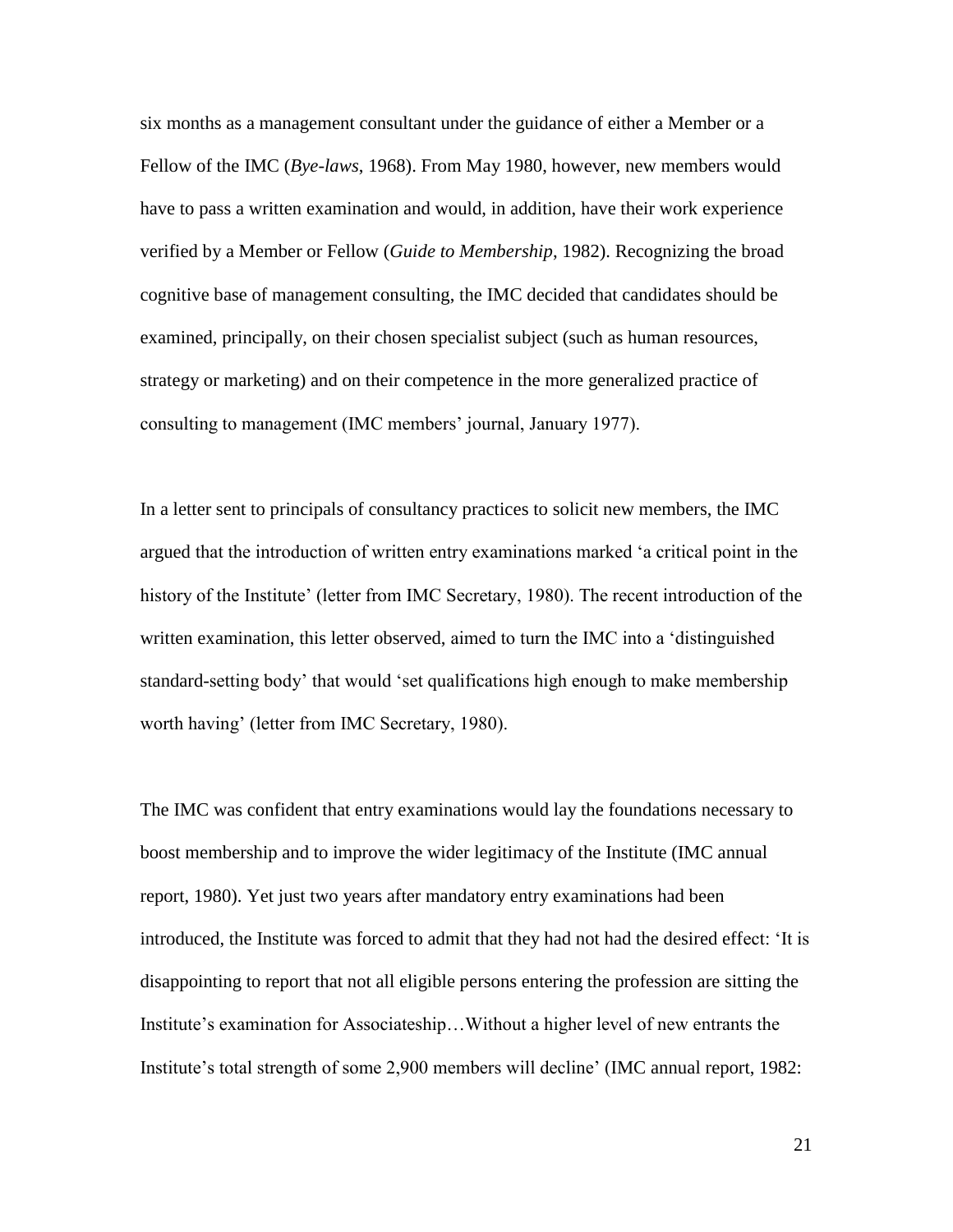six months as a management consultant under the guidance of either a Member or a Fellow of the IMC (*Bye-laws*, 1968). From May 1980, however, new members would have to pass a written examination and would, in addition, have their work experience verified by a Member or Fellow (*Guide to Membership*, 1982). Recognizing the broad cognitive base of management consulting, the IMC decided that candidates should be examined, principally, on their chosen specialist subject (such as human resources, strategy or marketing) and on their competence in the more generalized practice of consulting to management (IMC members' journal, January 1977).

In a letter sent to principals of consultancy practices to solicit new members, the IMC argued that the introduction of written entry examinations marked 'a critical point in the history of the Institute' (letter from IMC Secretary, 1980). The recent introduction of the written examination, this letter observed, aimed to turn the IMC into a 'distinguished standard-setting body' that would 'set qualifications high enough to make membership worth having' (letter from IMC Secretary, 1980).

The IMC was confident that entry examinations would lay the foundations necessary to boost membership and to improve the wider legitimacy of the Institute (IMC annual report, 1980). Yet just two years after mandatory entry examinations had been introduced, the Institute was forced to admit that they had not had the desired effect: 'It is disappointing to report that not all eligible persons entering the profession are sitting the Institute's examination for Associateship…Without a higher level of new entrants the Institute's total strength of some 2,900 members will decline' (IMC annual report, 1982: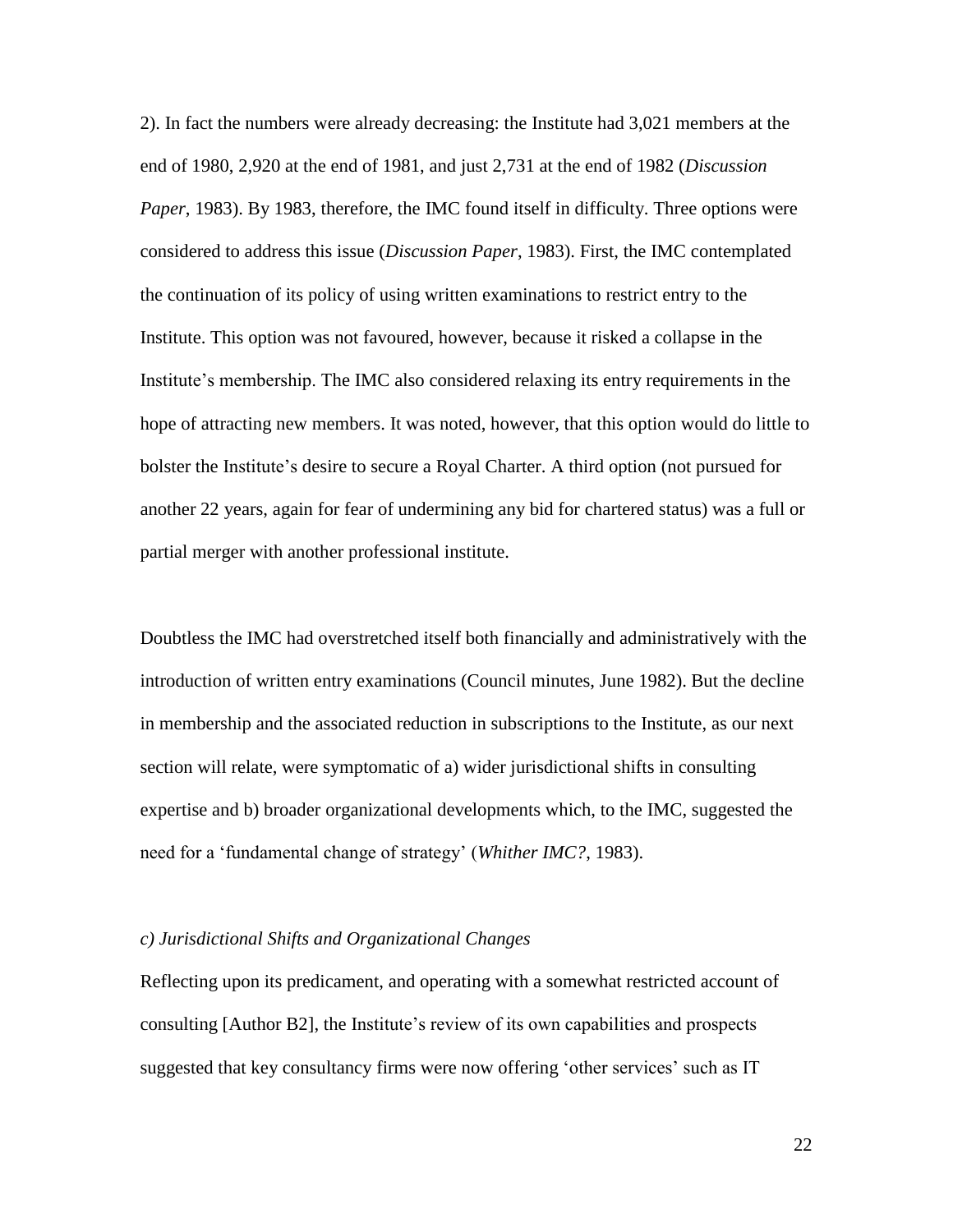2). In fact the numbers were already decreasing: the Institute had 3,021 members at the end of 1980, 2,920 at the end of 1981, and just 2,731 at the end of 1982 (*Discussion Paper*, 1983). By 1983, therefore, the IMC found itself in difficulty. Three options were considered to address this issue (*Discussion Paper*, 1983). First, the IMC contemplated the continuation of its policy of using written examinations to restrict entry to the Institute. This option was not favoured, however, because it risked a collapse in the Institute's membership. The IMC also considered relaxing its entry requirements in the hope of attracting new members. It was noted, however, that this option would do little to bolster the Institute's desire to secure a Royal Charter. A third option (not pursued for another 22 years, again for fear of undermining any bid for chartered status) was a full or partial merger with another professional institute.

Doubtless the IMC had overstretched itself both financially and administratively with the introduction of written entry examinations (Council minutes, June 1982). But the decline in membership and the associated reduction in subscriptions to the Institute, as our next section will relate, were symptomatic of a) wider jurisdictional shifts in consulting expertise and b) broader organizational developments which, to the IMC, suggested the need for a 'fundamental change of strategy' (*Whither IMC?*, 1983).

#### *c) Jurisdictional Shifts and Organizational Changes*

Reflecting upon its predicament, and operating with a somewhat restricted account of consulting [Author B2], the Institute's review of its own capabilities and prospects suggested that key consultancy firms were now offering 'other services' such as IT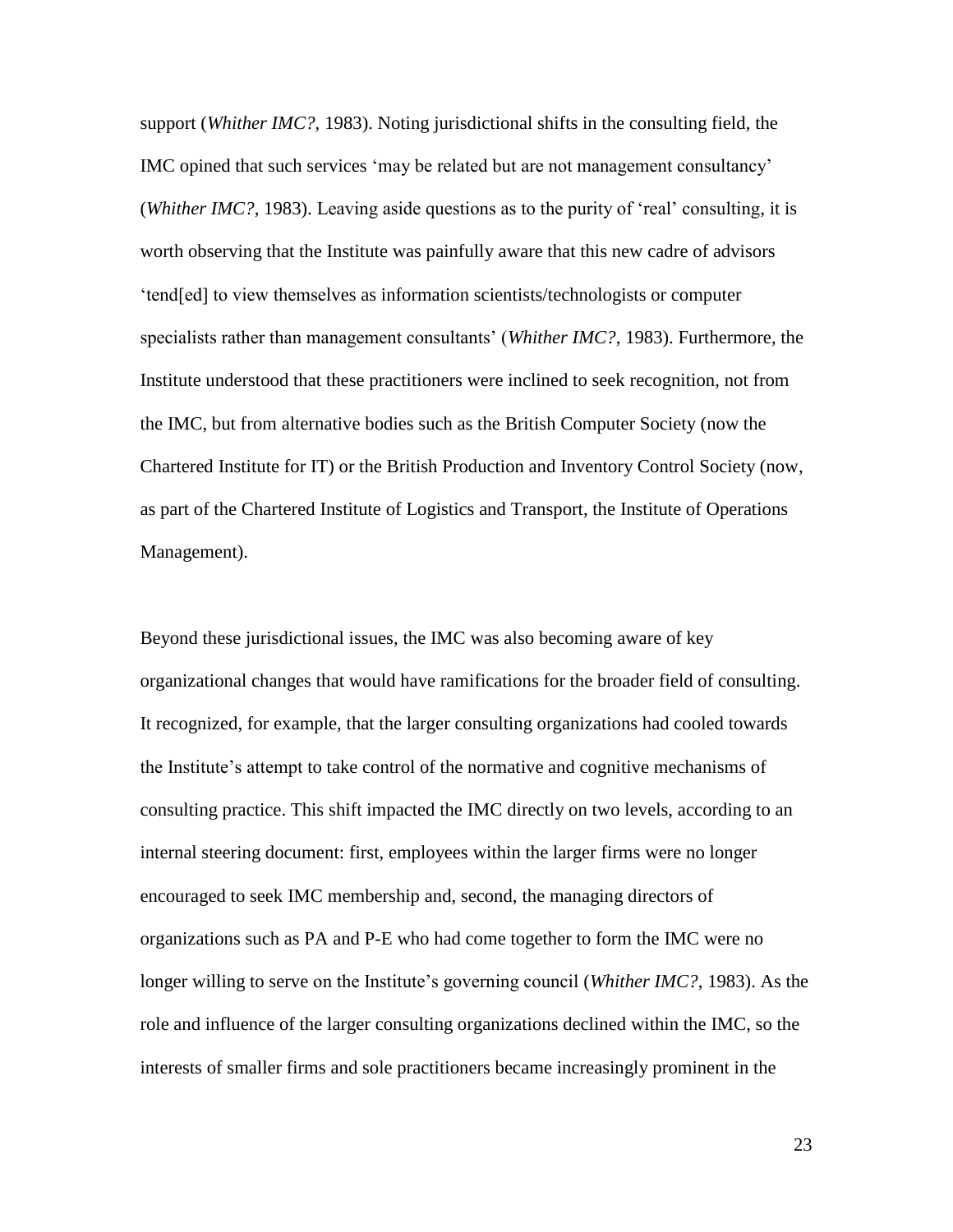support (*Whither IMC?*, 1983). Noting jurisdictional shifts in the consulting field, the IMC opined that such services 'may be related but are not management consultancy' (*Whither IMC?*, 1983). Leaving aside questions as to the purity of 'real' consulting, it is worth observing that the Institute was painfully aware that this new cadre of advisors 'tend[ed] to view themselves as information scientists/technologists or computer specialists rather than management consultants' (*Whither IMC?*, 1983). Furthermore, the Institute understood that these practitioners were inclined to seek recognition, not from the IMC, but from alternative bodies such as the British Computer Society (now the Chartered Institute for IT) or the British Production and Inventory Control Society (now, as part of the Chartered Institute of Logistics and Transport, the Institute of Operations Management).

Beyond these jurisdictional issues, the IMC was also becoming aware of key organizational changes that would have ramifications for the broader field of consulting. It recognized, for example, that the larger consulting organizations had cooled towards the Institute's attempt to take control of the normative and cognitive mechanisms of consulting practice. This shift impacted the IMC directly on two levels, according to an internal steering document: first, employees within the larger firms were no longer encouraged to seek IMC membership and, second, the managing directors of organizations such as PA and P-E who had come together to form the IMC were no longer willing to serve on the Institute's governing council (*Whither IMC?*, 1983). As the role and influence of the larger consulting organizations declined within the IMC, so the interests of smaller firms and sole practitioners became increasingly prominent in the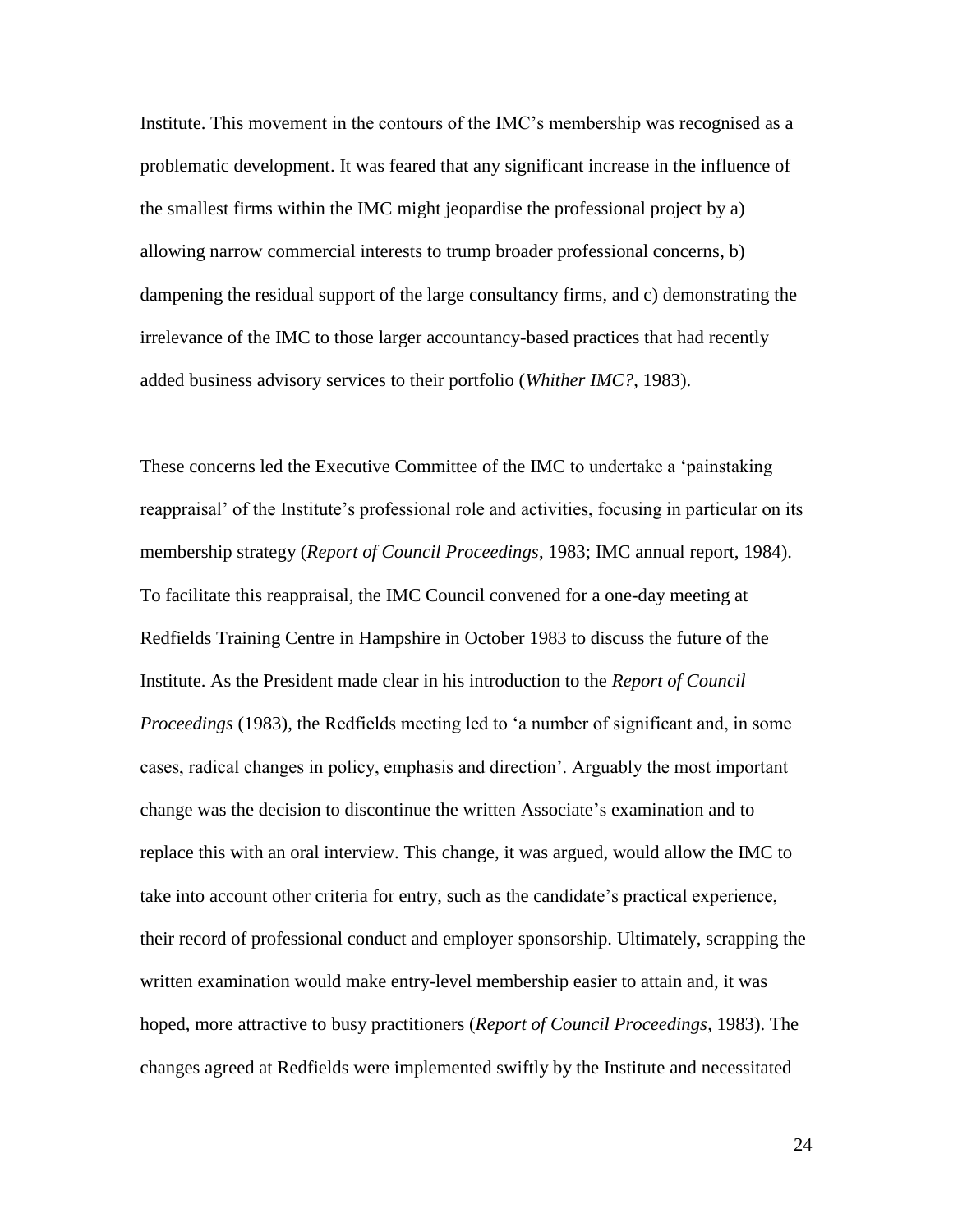Institute. This movement in the contours of the IMC's membership was recognised as a problematic development. It was feared that any significant increase in the influence of the smallest firms within the IMC might jeopardise the professional project by a) allowing narrow commercial interests to trump broader professional concerns, b) dampening the residual support of the large consultancy firms, and c) demonstrating the irrelevance of the IMC to those larger accountancy-based practices that had recently added business advisory services to their portfolio (*Whither IMC?*, 1983).

These concerns led the Executive Committee of the IMC to undertake a 'painstaking reappraisal' of the Institute's professional role and activities, focusing in particular on its membership strategy (*Report of Council Proceedings*, 1983; IMC annual report, 1984). To facilitate this reappraisal, the IMC Council convened for a one-day meeting at Redfields Training Centre in Hampshire in October 1983 to discuss the future of the Institute. As the President made clear in his introduction to the *Report of Council Proceedings* (1983), the Redfields meeting led to 'a number of significant and, in some cases, radical changes in policy, emphasis and direction'. Arguably the most important change was the decision to discontinue the written Associate's examination and to replace this with an oral interview. This change, it was argued, would allow the IMC to take into account other criteria for entry, such as the candidate's practical experience, their record of professional conduct and employer sponsorship. Ultimately, scrapping the written examination would make entry-level membership easier to attain and, it was hoped, more attractive to busy practitioners (*Report of Council Proceedings*, 1983). The changes agreed at Redfields were implemented swiftly by the Institute and necessitated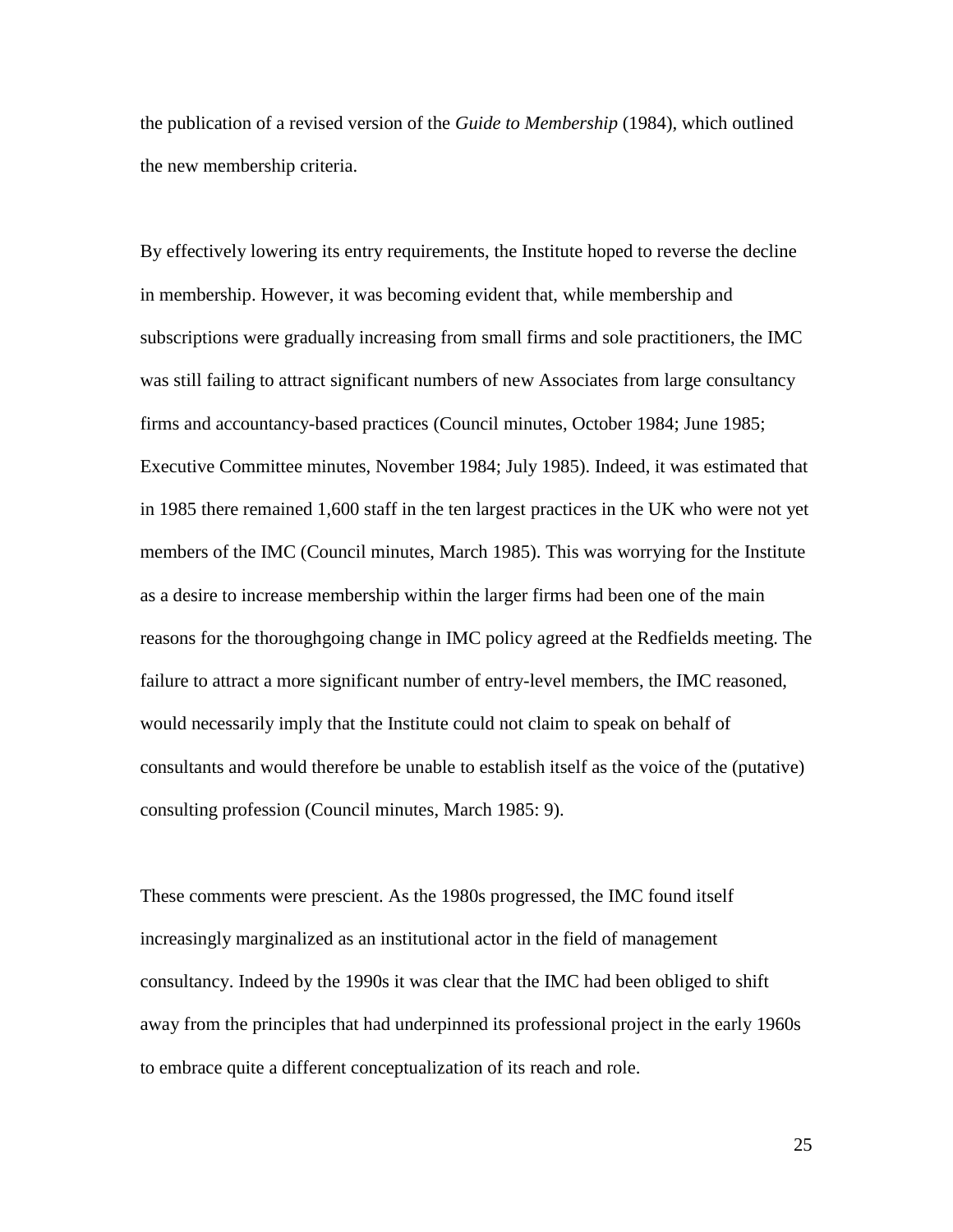the publication of a revised version of the *Guide to Membership* (1984)*,* which outlined the new membership criteria.

By effectively lowering its entry requirements, the Institute hoped to reverse the decline in membership. However, it was becoming evident that, while membership and subscriptions were gradually increasing from small firms and sole practitioners, the IMC was still failing to attract significant numbers of new Associates from large consultancy firms and accountancy-based practices (Council minutes, October 1984; June 1985; Executive Committee minutes, November 1984; July 1985). Indeed, it was estimated that in 1985 there remained 1,600 staff in the ten largest practices in the UK who were not yet members of the IMC (Council minutes, March 1985). This was worrying for the Institute as a desire to increase membership within the larger firms had been one of the main reasons for the thoroughgoing change in IMC policy agreed at the Redfields meeting. The failure to attract a more significant number of entry-level members, the IMC reasoned, would necessarily imply that the Institute could not claim to speak on behalf of consultants and would therefore be unable to establish itself as the voice of the (putative) consulting profession (Council minutes, March 1985: 9).

These comments were prescient. As the 1980s progressed, the IMC found itself increasingly marginalized as an institutional actor in the field of management consultancy. Indeed by the 1990s it was clear that the IMC had been obliged to shift away from the principles that had underpinned its professional project in the early 1960s to embrace quite a different conceptualization of its reach and role.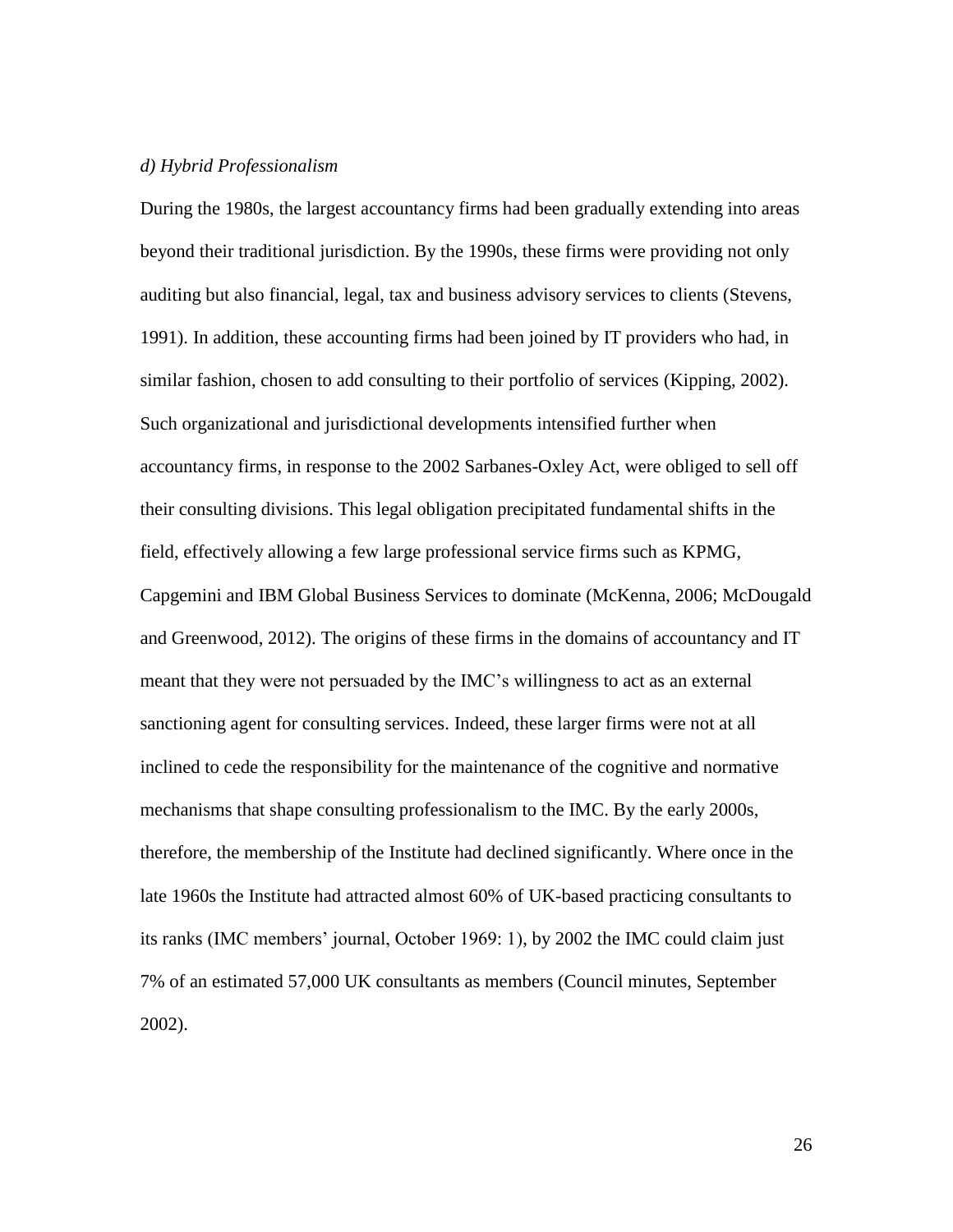# *d) Hybrid Professionalism*

During the 1980s, the largest accountancy firms had been gradually extending into areas beyond their traditional jurisdiction. By the 1990s, these firms were providing not only auditing but also financial, legal, tax and business advisory services to clients (Stevens, 1991). In addition, these accounting firms had been joined by IT providers who had, in similar fashion, chosen to add consulting to their portfolio of services (Kipping, 2002). Such organizational and jurisdictional developments intensified further when accountancy firms, in response to the 2002 Sarbanes-Oxley Act, were obliged to sell off their consulting divisions. This legal obligation precipitated fundamental shifts in the field, effectively allowing a few large professional service firms such as KPMG, Capgemini and IBM Global Business Services to dominate (McKenna, 2006; McDougald and Greenwood, 2012). The origins of these firms in the domains of accountancy and IT meant that they were not persuaded by the IMC's willingness to act as an external sanctioning agent for consulting services. Indeed, these larger firms were not at all inclined to cede the responsibility for the maintenance of the cognitive and normative mechanisms that shape consulting professionalism to the IMC. By the early 2000s, therefore, the membership of the Institute had declined significantly. Where once in the late 1960s the Institute had attracted almost 60% of UK-based practicing consultants to its ranks (IMC members' journal, October 1969: 1), by 2002 the IMC could claim just 7% of an estimated 57,000 UK consultants as members (Council minutes, September 2002).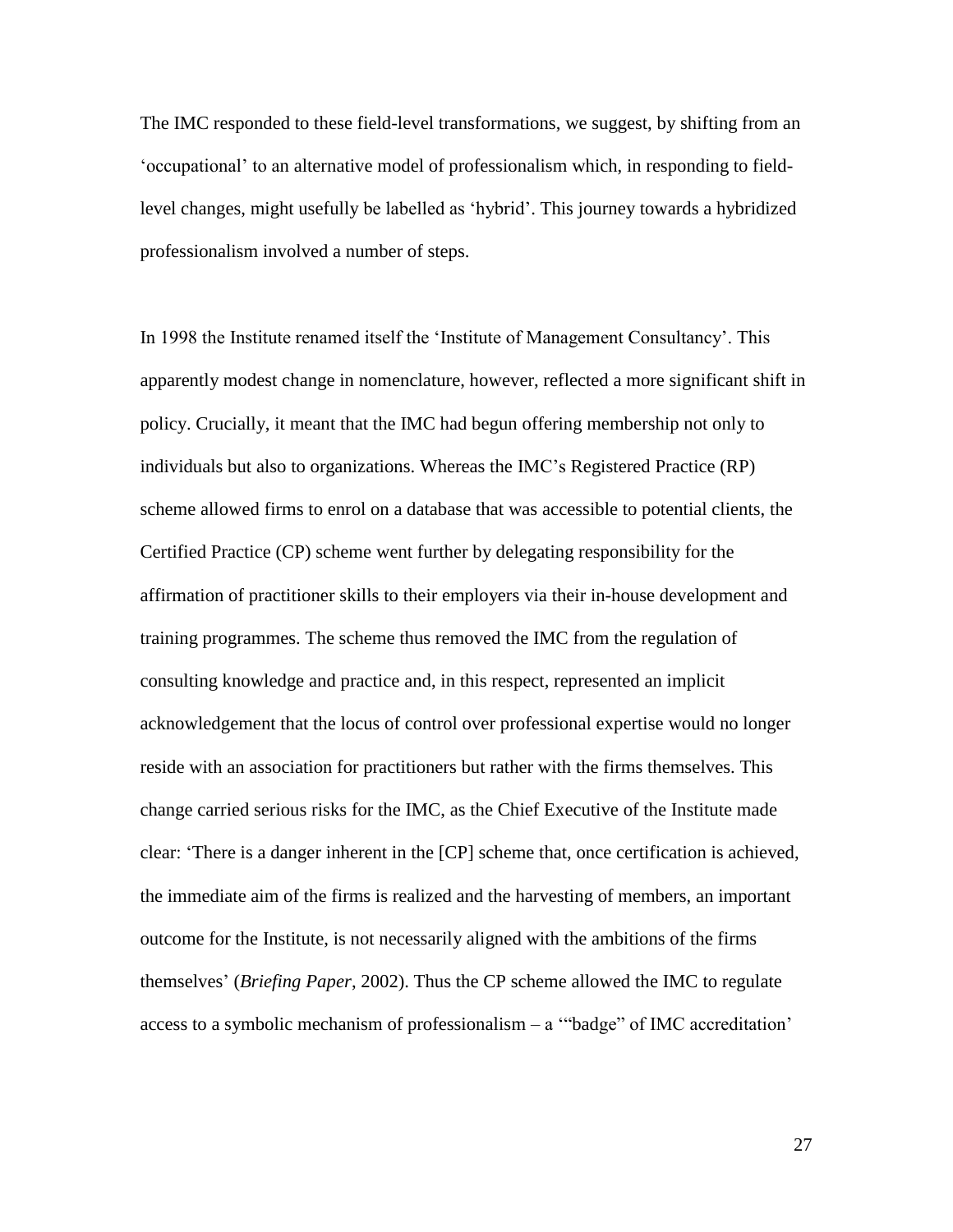The IMC responded to these field-level transformations, we suggest, by shifting from an 'occupational' to an alternative model of professionalism which, in responding to fieldlevel changes, might usefully be labelled as 'hybrid'. This journey towards a hybridized professionalism involved a number of steps.

In 1998 the Institute renamed itself the 'Institute of Management Consultancy'. This apparently modest change in nomenclature, however, reflected a more significant shift in policy. Crucially, it meant that the IMC had begun offering membership not only to individuals but also to organizations. Whereas the IMC's Registered Practice (RP) scheme allowed firms to enrol on a database that was accessible to potential clients, the Certified Practice (CP) scheme went further by delegating responsibility for the affirmation of practitioner skills to their employers via their in-house development and training programmes. The scheme thus removed the IMC from the regulation of consulting knowledge and practice and, in this respect, represented an implicit acknowledgement that the locus of control over professional expertise would no longer reside with an association for practitioners but rather with the firms themselves. This change carried serious risks for the IMC, as the Chief Executive of the Institute made clear: 'There is a danger inherent in the [CP] scheme that, once certification is achieved, the immediate aim of the firms is realized and the harvesting of members, an important outcome for the Institute, is not necessarily aligned with the ambitions of the firms themselves' (*Briefing Paper*, 2002). Thus the CP scheme allowed the IMC to regulate access to a symbolic mechanism of professionalism – a '"badge" of IMC accreditation'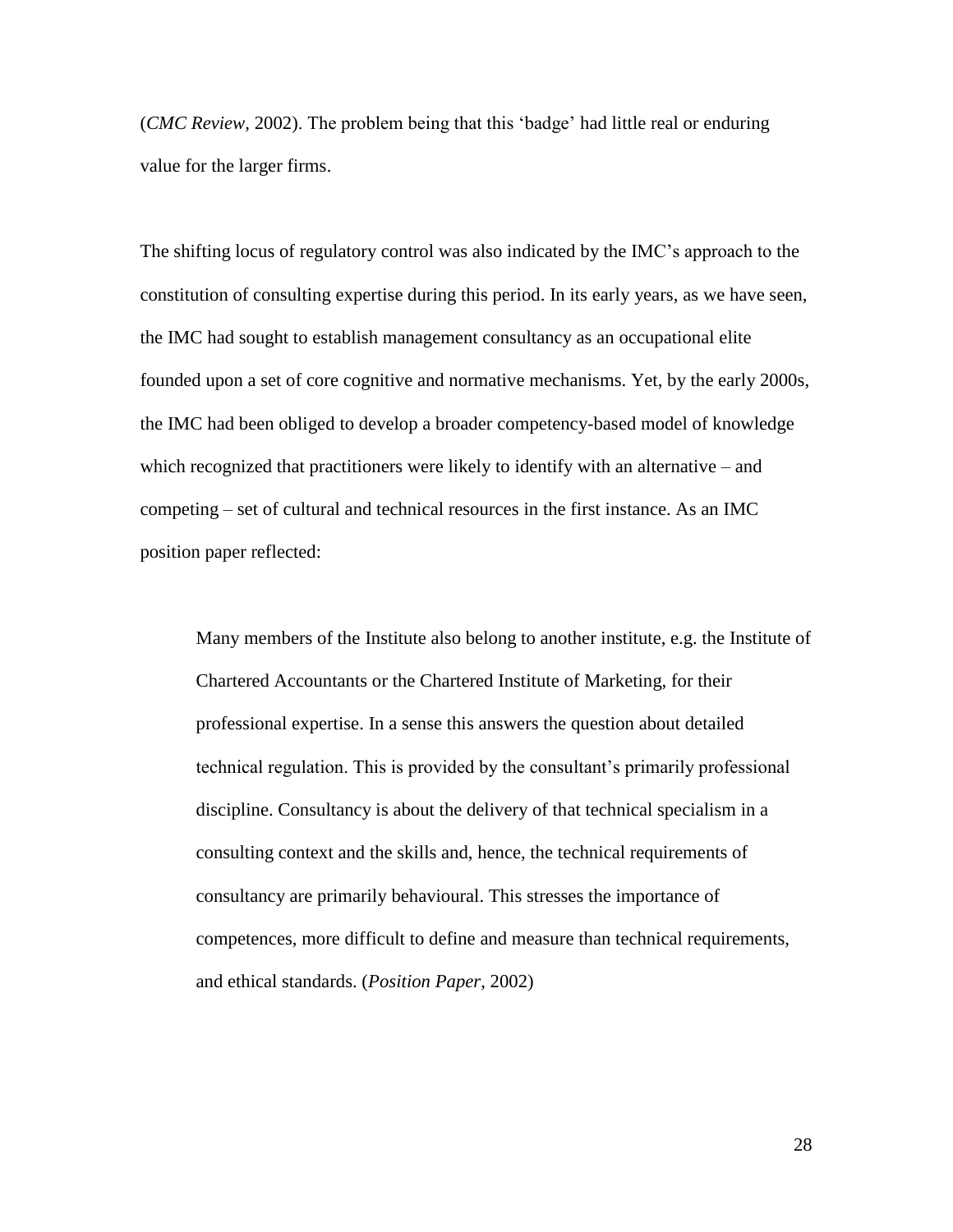(*CMC Review*, 2002). The problem being that this 'badge' had little real or enduring value for the larger firms.

The shifting locus of regulatory control was also indicated by the IMC's approach to the constitution of consulting expertise during this period. In its early years, as we have seen, the IMC had sought to establish management consultancy as an occupational elite founded upon a set of core cognitive and normative mechanisms. Yet, by the early 2000s, the IMC had been obliged to develop a broader competency-based model of knowledge which recognized that practitioners were likely to identify with an alternative – and competing – set of cultural and technical resources in the first instance. As an IMC position paper reflected:

Many members of the Institute also belong to another institute, e.g. the Institute of Chartered Accountants or the Chartered Institute of Marketing, for their professional expertise. In a sense this answers the question about detailed technical regulation. This is provided by the consultant's primarily professional discipline. Consultancy is about the delivery of that technical specialism in a consulting context and the skills and, hence, the technical requirements of consultancy are primarily behavioural. This stresses the importance of competences, more difficult to define and measure than technical requirements, and ethical standards. (*Position Paper*, 2002)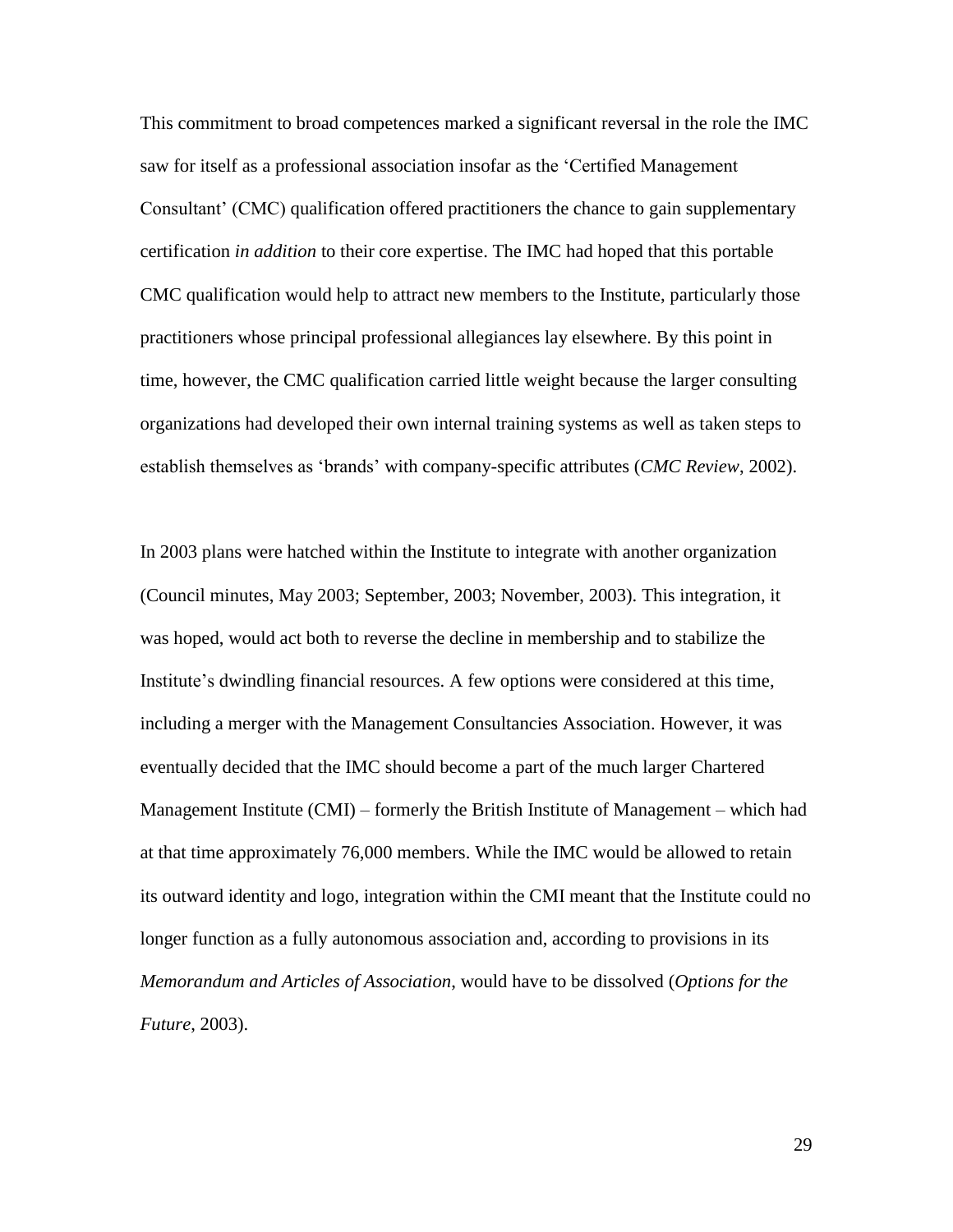This commitment to broad competences marked a significant reversal in the role the IMC saw for itself as a professional association insofar as the 'Certified Management Consultant' (CMC) qualification offered practitioners the chance to gain supplementary certification *in addition* to their core expertise. The IMC had hoped that this portable CMC qualification would help to attract new members to the Institute, particularly those practitioners whose principal professional allegiances lay elsewhere. By this point in time, however, the CMC qualification carried little weight because the larger consulting organizations had developed their own internal training systems as well as taken steps to establish themselves as 'brands' with company-specific attributes (*CMC Review*, 2002).

In 2003 plans were hatched within the Institute to integrate with another organization (Council minutes, May 2003; September, 2003; November, 2003). This integration, it was hoped, would act both to reverse the decline in membership and to stabilize the Institute's dwindling financial resources. A few options were considered at this time, including a merger with the Management Consultancies Association. However, it was eventually decided that the IMC should become a part of the much larger Chartered Management Institute (CMI) – formerly the British Institute of Management – which had at that time approximately 76,000 members. While the IMC would be allowed to retain its outward identity and logo, integration within the CMI meant that the Institute could no longer function as a fully autonomous association and, according to provisions in its *Memorandum and Articles of Association*, would have to be dissolved (*Options for the Future*, 2003).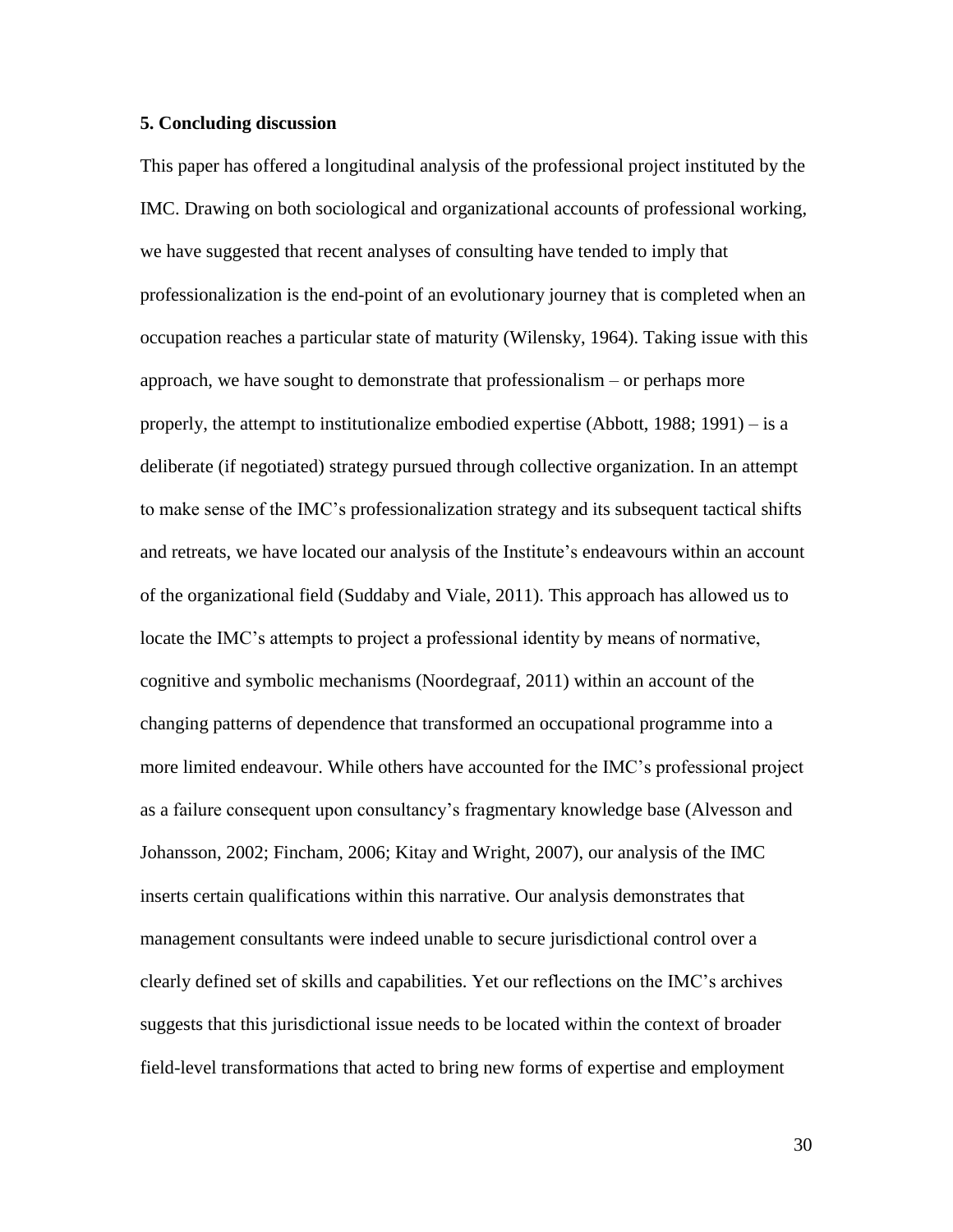## **5. Concluding discussion**

This paper has offered a longitudinal analysis of the professional project instituted by the IMC. Drawing on both sociological and organizational accounts of professional working, we have suggested that recent analyses of consulting have tended to imply that professionalization is the end-point of an evolutionary journey that is completed when an occupation reaches a particular state of maturity (Wilensky, 1964). Taking issue with this approach, we have sought to demonstrate that professionalism – or perhaps more properly, the attempt to institutionalize embodied expertise (Abbott, 1988; 1991) – is a deliberate (if negotiated) strategy pursued through collective organization. In an attempt to make sense of the IMC's professionalization strategy and its subsequent tactical shifts and retreats, we have located our analysis of the Institute's endeavours within an account of the organizational field (Suddaby and Viale, 2011). This approach has allowed us to locate the IMC's attempts to project a professional identity by means of normative, cognitive and symbolic mechanisms (Noordegraaf, 2011) within an account of the changing patterns of dependence that transformed an occupational programme into a more limited endeavour. While others have accounted for the IMC's professional project as a failure consequent upon consultancy's fragmentary knowledge base (Alvesson and Johansson, 2002; Fincham, 2006; Kitay and Wright, 2007), our analysis of the IMC inserts certain qualifications within this narrative. Our analysis demonstrates that management consultants were indeed unable to secure jurisdictional control over a clearly defined set of skills and capabilities. Yet our reflections on the IMC's archives suggests that this jurisdictional issue needs to be located within the context of broader field-level transformations that acted to bring new forms of expertise and employment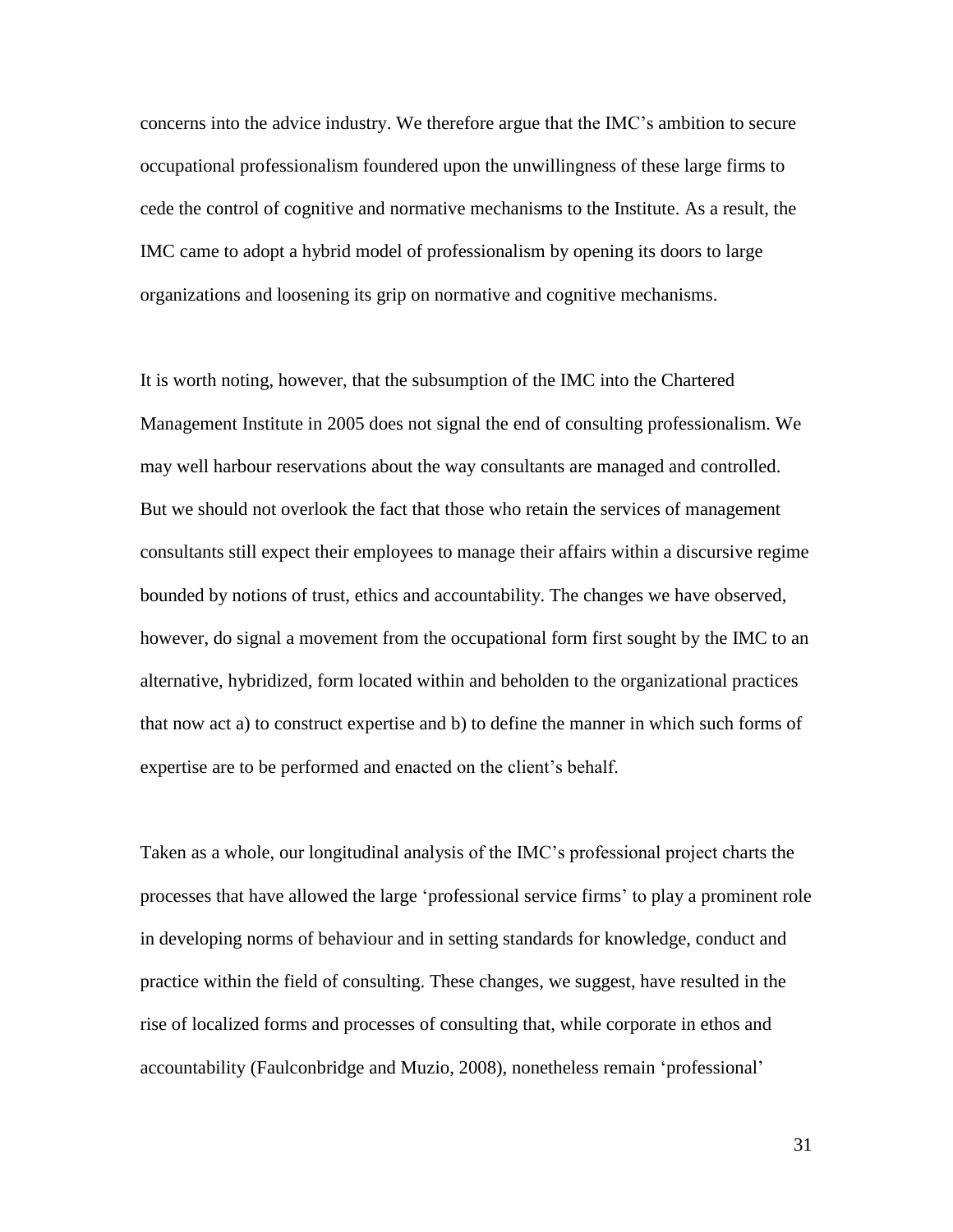concerns into the advice industry. We therefore argue that the IMC's ambition to secure occupational professionalism foundered upon the unwillingness of these large firms to cede the control of cognitive and normative mechanisms to the Institute. As a result, the IMC came to adopt a hybrid model of professionalism by opening its doors to large organizations and loosening its grip on normative and cognitive mechanisms.

It is worth noting, however, that the subsumption of the IMC into the Chartered Management Institute in 2005 does not signal the end of consulting professionalism. We may well harbour reservations about the way consultants are managed and controlled. But we should not overlook the fact that those who retain the services of management consultants still expect their employees to manage their affairs within a discursive regime bounded by notions of trust, ethics and accountability. The changes we have observed, however, do signal a movement from the occupational form first sought by the IMC to an alternative, hybridized, form located within and beholden to the organizational practices that now act a) to construct expertise and b) to define the manner in which such forms of expertise are to be performed and enacted on the client's behalf.

Taken as a whole, our longitudinal analysis of the IMC's professional project charts the processes that have allowed the large 'professional service firms' to play a prominent role in developing norms of behaviour and in setting standards for knowledge, conduct and practice within the field of consulting. These changes, we suggest, have resulted in the rise of localized forms and processes of consulting that, while corporate in ethos and accountability (Faulconbridge and Muzio, 2008), nonetheless remain 'professional'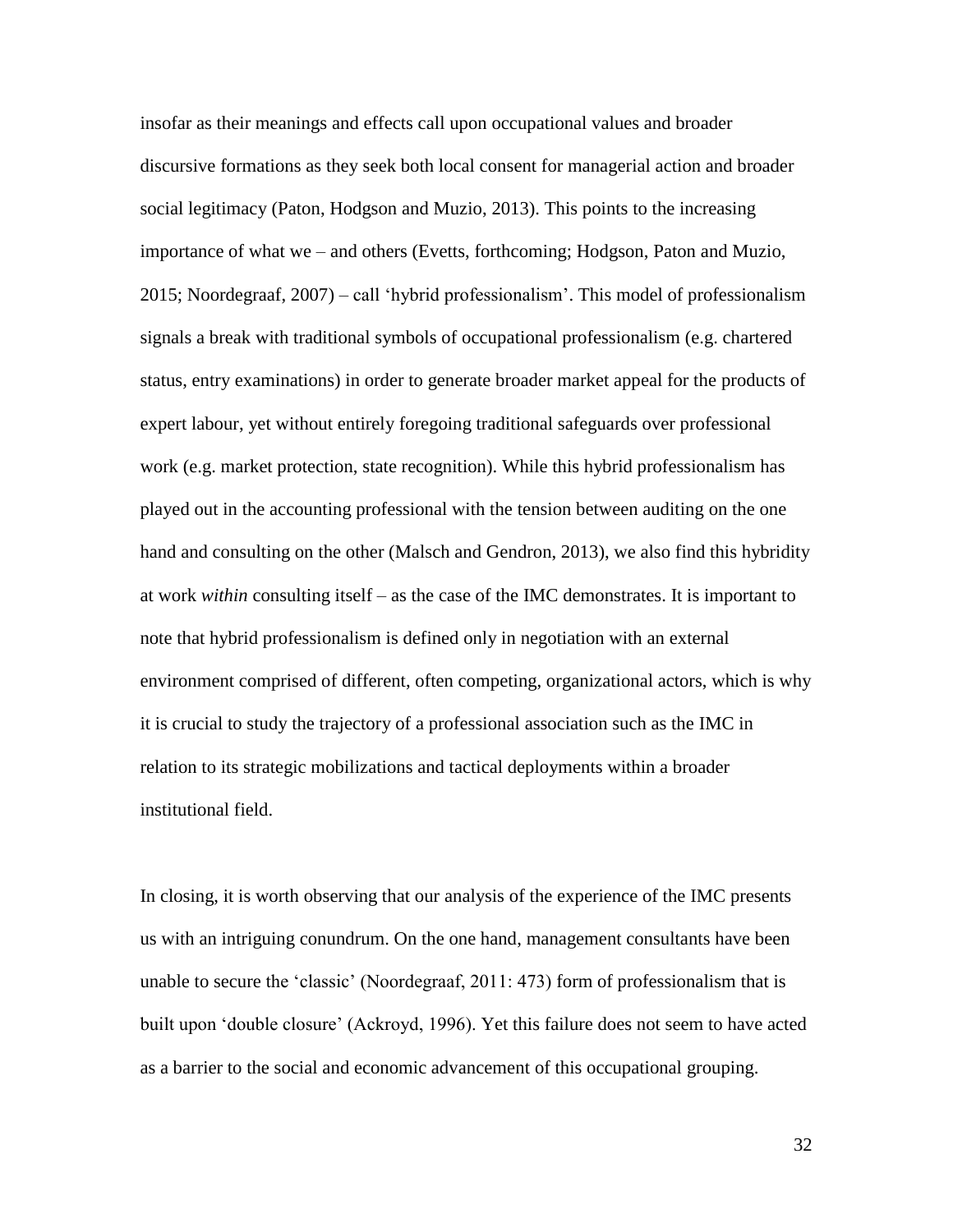insofar as their meanings and effects call upon occupational values and broader discursive formations as they seek both local consent for managerial action and broader social legitimacy (Paton, Hodgson and Muzio, 2013). This points to the increasing importance of what we – and others (Evetts, forthcoming; Hodgson, Paton and Muzio, 2015; Noordegraaf, 2007) – call 'hybrid professionalism'. This model of professionalism signals a break with traditional symbols of occupational professionalism (e.g. chartered status, entry examinations) in order to generate broader market appeal for the products of expert labour, yet without entirely foregoing traditional safeguards over professional work (e.g. market protection, state recognition). While this hybrid professionalism has played out in the accounting professional with the tension between auditing on the one hand and consulting on the other (Malsch and Gendron, 2013), we also find this hybridity at work *within* consulting itself – as the case of the IMC demonstrates. It is important to note that hybrid professionalism is defined only in negotiation with an external environment comprised of different, often competing, organizational actors, which is why it is crucial to study the trajectory of a professional association such as the IMC in relation to its strategic mobilizations and tactical deployments within a broader institutional field.

In closing, it is worth observing that our analysis of the experience of the IMC presents us with an intriguing conundrum. On the one hand, management consultants have been unable to secure the 'classic' (Noordegraaf, 2011: 473) form of professionalism that is built upon 'double closure' (Ackroyd, 1996). Yet this failure does not seem to have acted as a barrier to the social and economic advancement of this occupational grouping.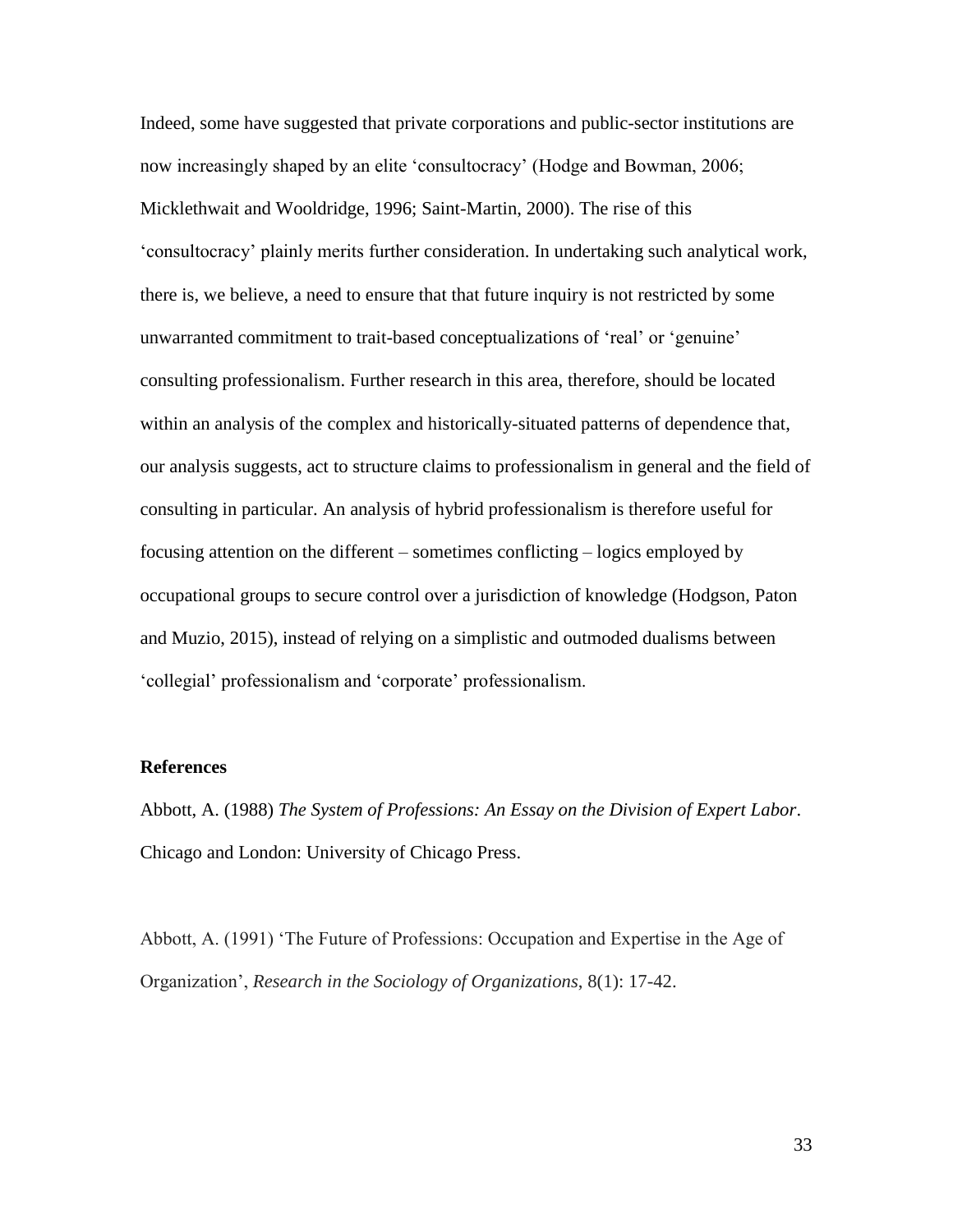Indeed, some have suggested that private corporations and public-sector institutions are now increasingly shaped by an elite 'consultocracy' (Hodge and Bowman, 2006; Micklethwait and Wooldridge, 1996; Saint-Martin, 2000). The rise of this 'consultocracy' plainly merits further consideration. In undertaking such analytical work, there is, we believe, a need to ensure that that future inquiry is not restricted by some unwarranted commitment to trait-based conceptualizations of 'real' or 'genuine' consulting professionalism. Further research in this area, therefore, should be located within an analysis of the complex and historically-situated patterns of dependence that, our analysis suggests, act to structure claims to professionalism in general and the field of consulting in particular. An analysis of hybrid professionalism is therefore useful for focusing attention on the different – sometimes conflicting – logics employed by occupational groups to secure control over a jurisdiction of knowledge (Hodgson, Paton and Muzio, 2015), instead of relying on a simplistic and outmoded dualisms between 'collegial' professionalism and 'corporate' professionalism.

## **References**

Abbott, A. (1988) *The System of Professions: An Essay on the Division of Expert Labor*. Chicago and London: University of Chicago Press.

Abbott, A. (1991) 'The Future of Professions: Occupation and Expertise in the Age of Organization', *Research in the Sociology of Organizations*, 8(1): 17-42.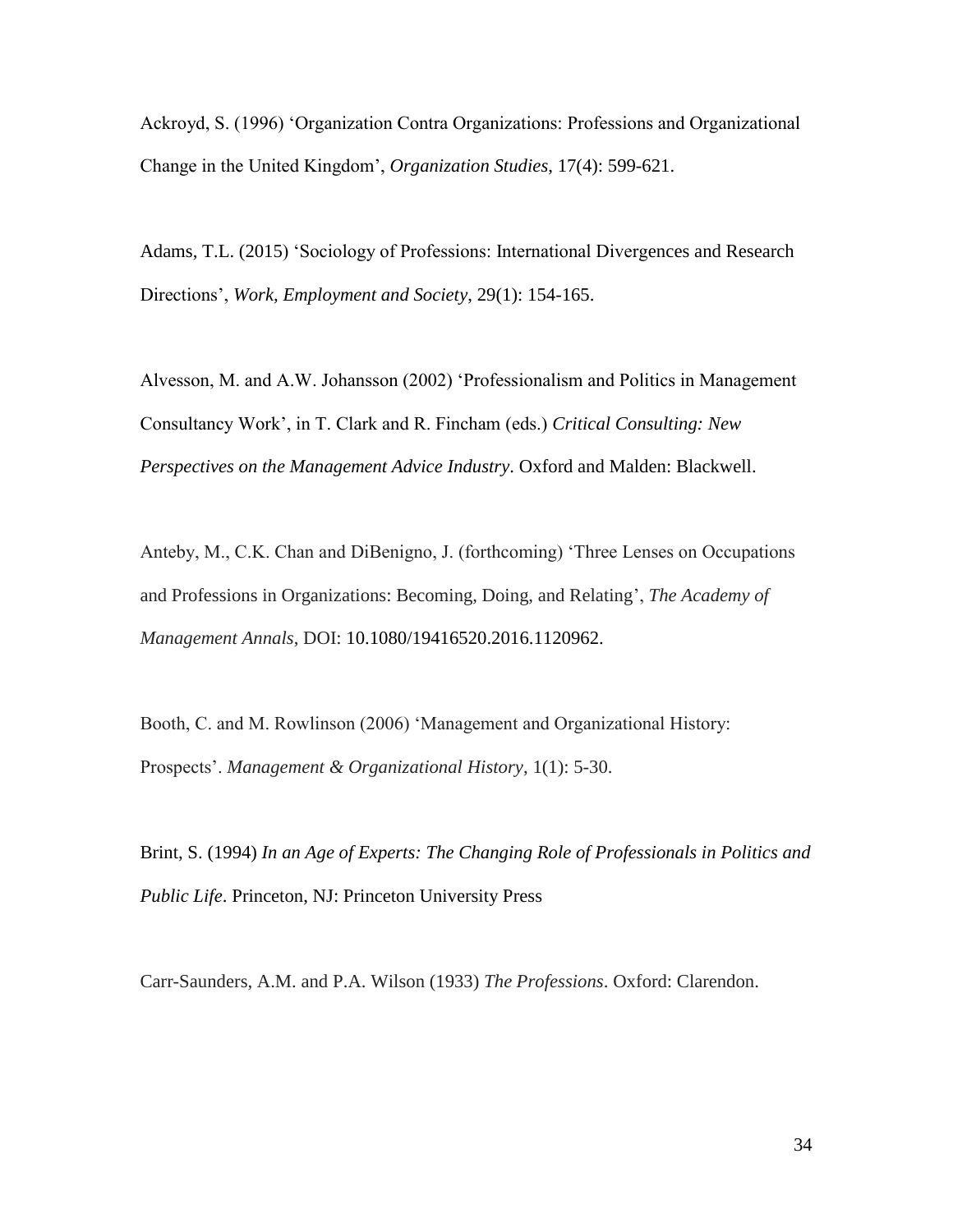Ackroyd, S. (1996) 'Organization Contra Organizations: Professions and Organizational Change in the United Kingdom', *Organization Studies*, 17(4): 599-621.

Adams, T.L. (2015) 'Sociology of Professions: International Divergences and Research Directions', *Work, Employment and Society*, 29(1): 154-165.

Alvesson, M. and A.W. Johansson (2002) 'Professionalism and Politics in Management Consultancy Work', in T. Clark and R. Fincham (eds.) *Critical Consulting: New Perspectives on the Management Advice Industry*. Oxford and Malden: Blackwell.

Anteby, M., C.K. Chan and DiBenigno, J. (forthcoming) 'Three Lenses on Occupations and Professions in Organizations: Becoming, Doing, and Relating', *The Academy of Management Annals*, DOI: 10.1080/19416520.2016.1120962.

Booth, C. and M. Rowlinson (2006) 'Management and Organizational History: Prospects'. *Management & Organizational History*, 1(1): 5-30.

Brint, S. (1994) *In an Age of Experts: The Changing Role of Professionals in Politics and Public Life*. Princeton, NJ: Princeton University Press

Carr-Saunders, A.M. and P.A. Wilson (1933) *The Professions*. Oxford: Clarendon.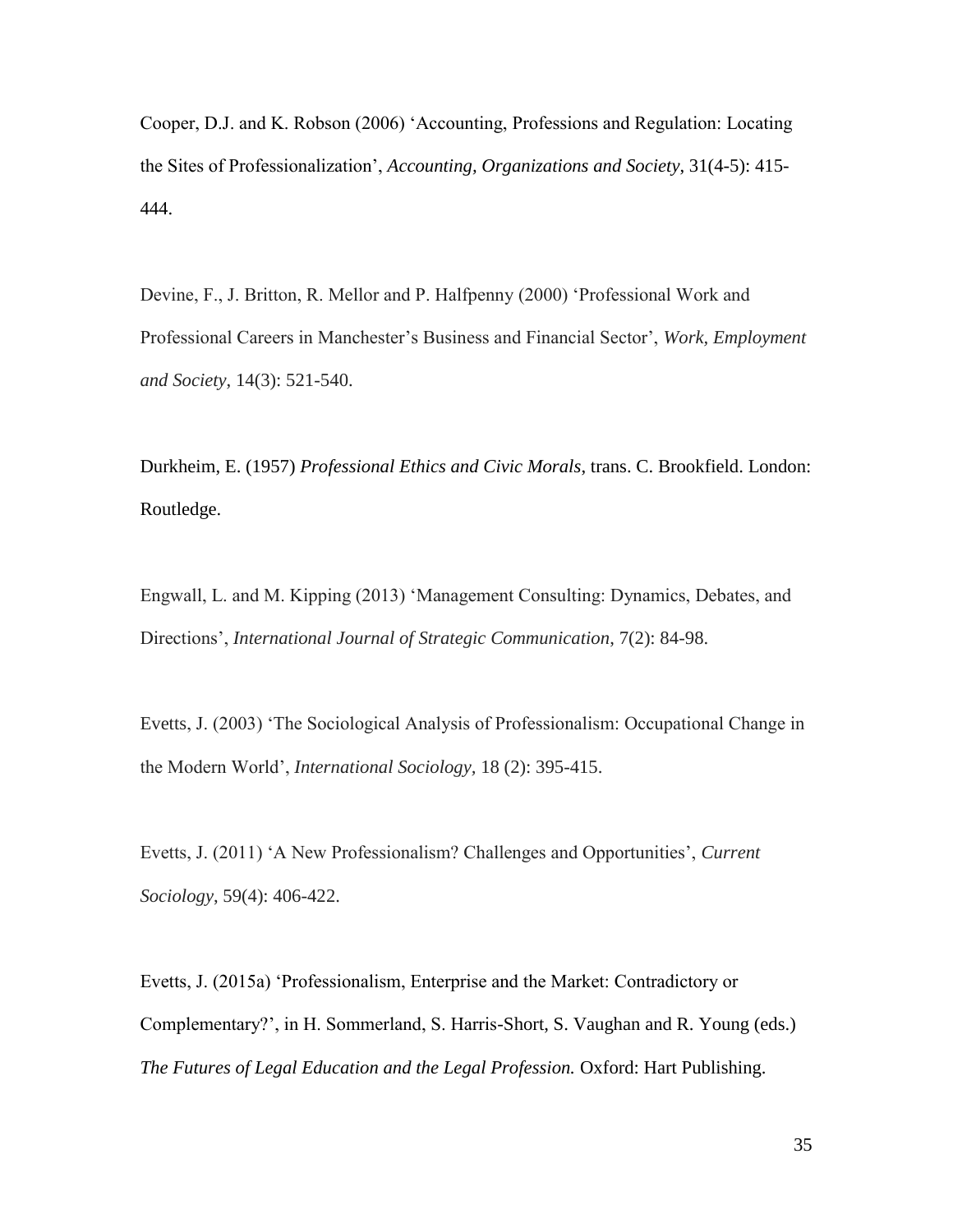Cooper, D.J. and K. Robson (2006) 'Accounting, Professions and Regulation: Locating the Sites of Professionalization', *Accounting, Organizations and Society*, 31(4-5): 415- 444.

Devine, F., J. Britton, R. Mellor and P. Halfpenny (2000) 'Professional Work and Professional Careers in Manchester's Business and Financial Sector', *Work, Employment and Society*, 14(3): 521-540.

Durkheim, E. (1957) *Professional Ethics and Civic Morals*, trans. C. Brookfield. London: Routledge.

Engwall, L. and M. Kipping (2013) 'Management Consulting: Dynamics, Debates, and Directions', *International Journal of Strategic Communication*, 7(2): 84-98.

Evetts, J. (2003) 'The Sociological Analysis of Professionalism: Occupational Change in the Modern World', *International Sociology,* 18 (2): 395-415.

Evetts, J. (2011) 'A New Professionalism? Challenges and Opportunities', *Current Sociology*, 59(4): 406-422.

Evetts, J. (2015a) 'Professionalism, Enterprise and the Market: Contradictory or Complementary?', in H. Sommerland, S. Harris-Short, S. Vaughan and R. Young (eds.) *The Futures of Legal Education and the Legal Profession.* Oxford: Hart Publishing.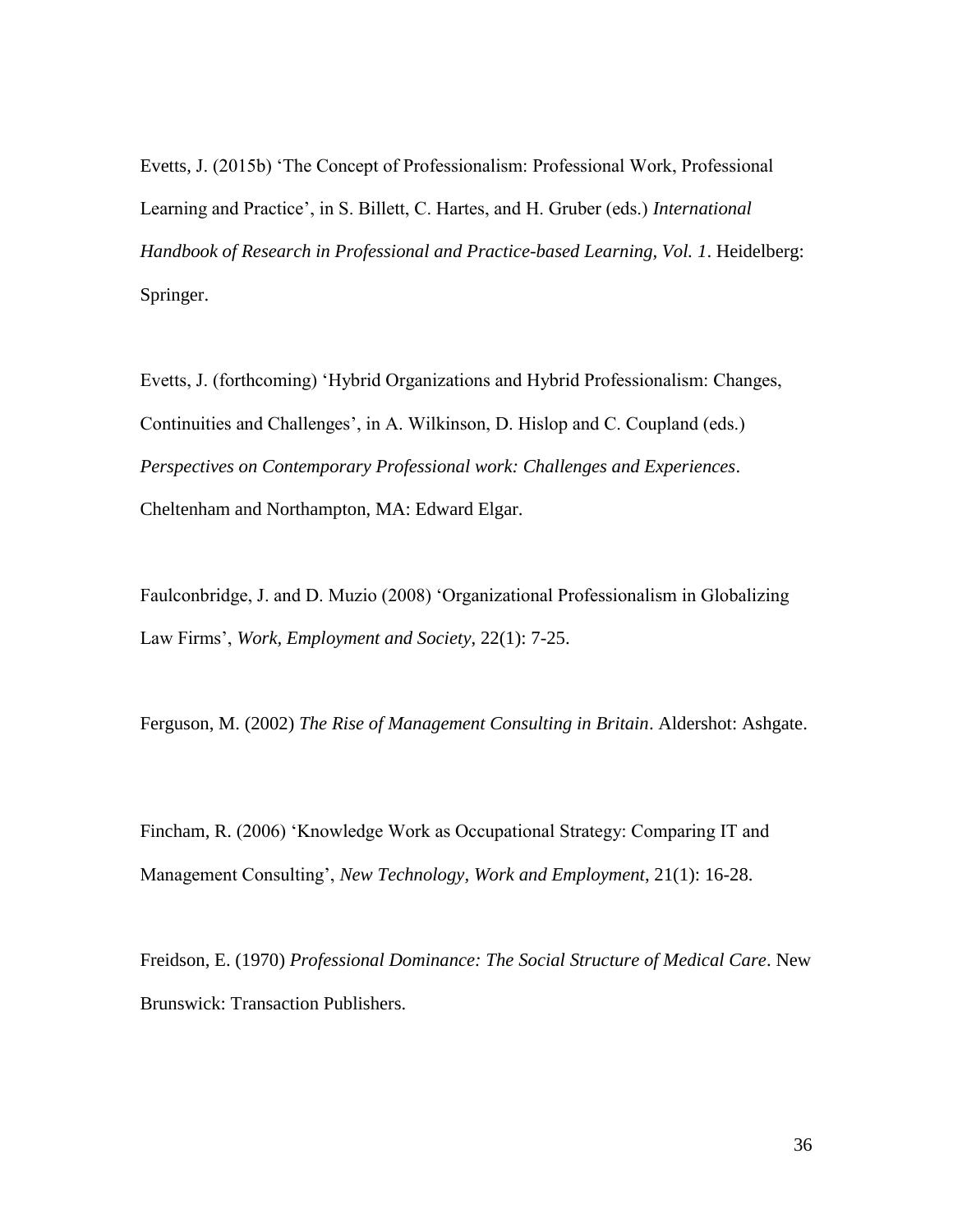Evetts, J. (2015b) 'The Concept of Professionalism: Professional Work, Professional Learning and Practice', in S. Billett, C. Hartes, and H. Gruber (eds.) *International Handbook of Research in Professional and Practice-based Learning, Vol. 1*. Heidelberg: Springer.

Evetts, J. (forthcoming) 'Hybrid Organizations and Hybrid Professionalism: Changes, Continuities and Challenges', in A. Wilkinson, D. Hislop and C. Coupland (eds.) *Perspectives on Contemporary Professional work: Challenges and Experiences*. Cheltenham and Northampton, MA: Edward Elgar.

Faulconbridge, J. and D. Muzio (2008) 'Organizational Professionalism in Globalizing Law Firms', *Work, Employment and Society*, 22(1): 7-25.

Ferguson, M. (2002) *The Rise of Management Consulting in Britain*. Aldershot: Ashgate.

Fincham, R. (2006) 'Knowledge Work as Occupational Strategy: Comparing IT and Management Consulting', *New Technology, Work and Employment*, 21(1): 16-28.

Freidson, E. (1970) *Professional Dominance: The Social Structure of Medical Care*. New Brunswick: Transaction Publishers.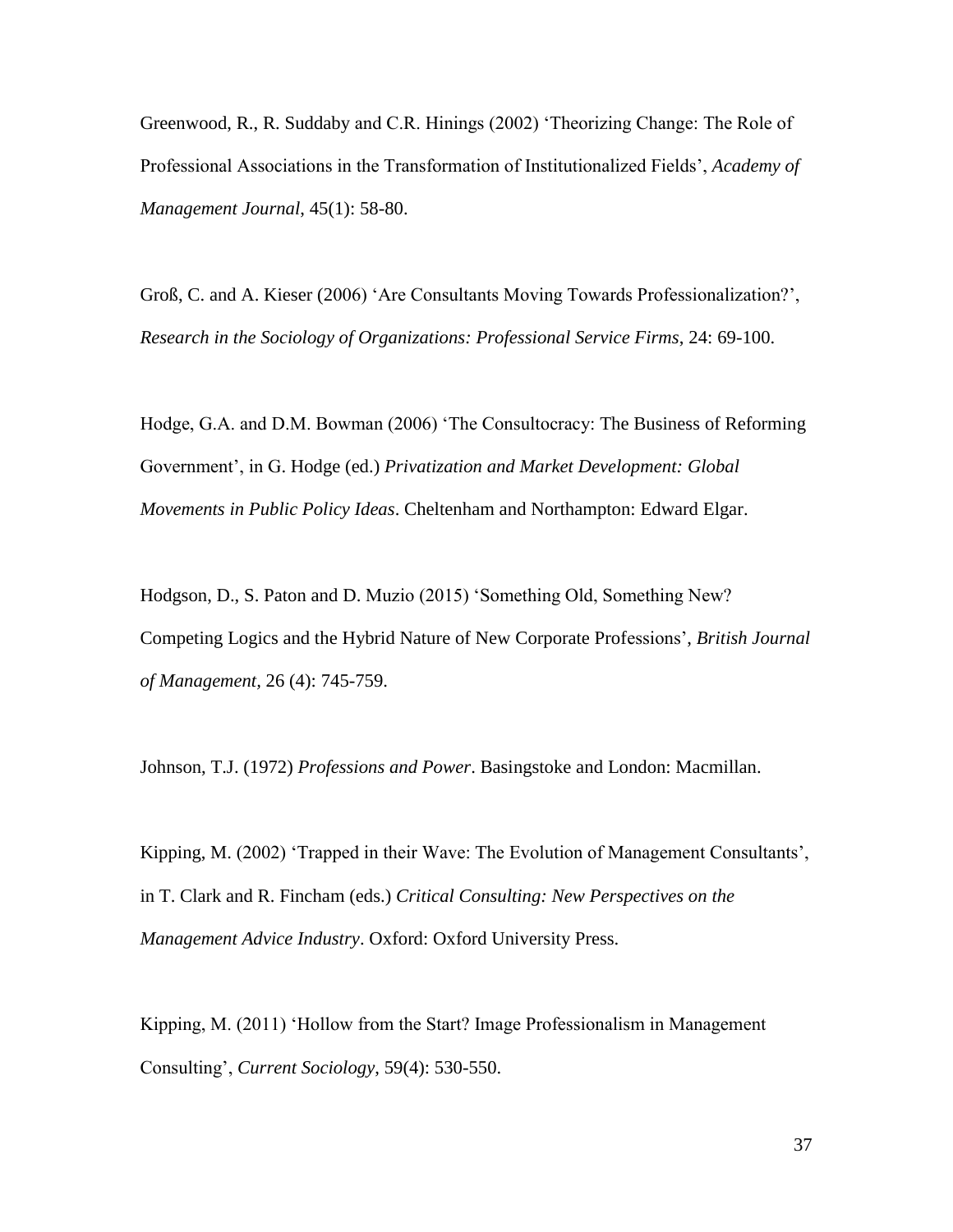Greenwood, R., R. Suddaby and C.R. Hinings (2002) 'Theorizing Change: The Role of Professional Associations in the Transformation of Institutionalized Fields', *Academy of Management Journal*, 45(1): 58-80.

Groß, C. and A. Kieser (2006) 'Are Consultants Moving Towards Professionalization?', *Research in the Sociology of Organizations: Professional Service Firms*, 24: 69-100.

Hodge, G.A. and D.M. Bowman (2006) 'The Consultocracy: The Business of Reforming Government', in G. Hodge (ed.) *Privatization and Market Development: Global Movements in Public Policy Ideas*. Cheltenham and Northampton: Edward Elgar.

Hodgson, D., S. Paton and D. Muzio (2015) 'Something Old, Something New? Competing Logics and the Hybrid Nature of New Corporate Professions', *British Journal of Management,* 26 (4): 745-759.

Johnson, T.J. (1972) *Professions and Power*. Basingstoke and London: Macmillan.

Kipping, M. (2002) 'Trapped in their Wave: The Evolution of Management Consultants', in T. Clark and R. Fincham (eds.) *Critical Consulting: New Perspectives on the Management Advice Industry*. Oxford: Oxford University Press.

Kipping, M. (2011) 'Hollow from the Start? Image Professionalism in Management Consulting', *Current Sociology*, 59(4): 530-550.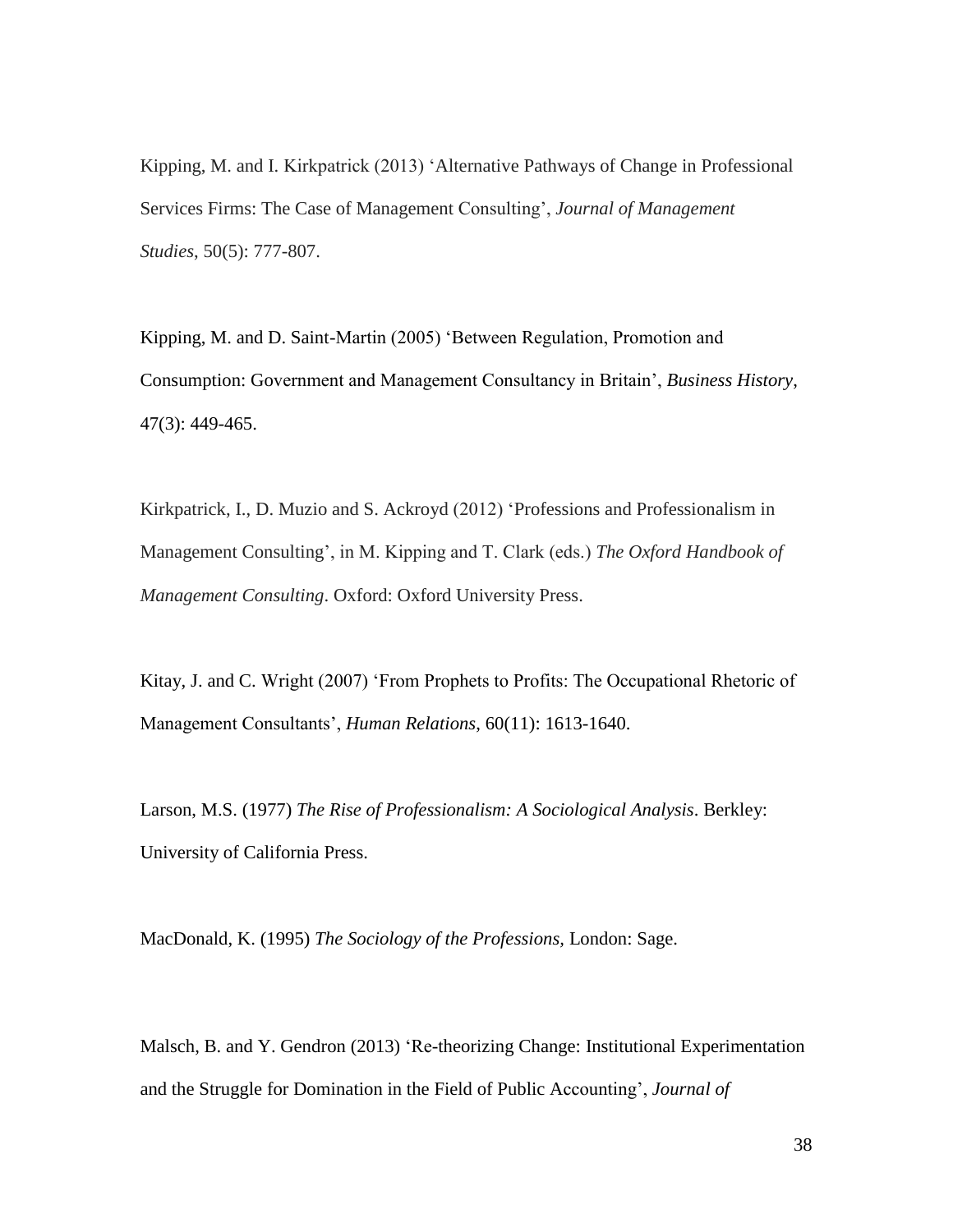Kipping, M. and I. Kirkpatrick (2013) 'Alternative Pathways of Change in Professional Services Firms: The Case of Management Consulting', *Journal of Management Studies*, 50(5): 777-807.

Kipping, M. and D. Saint-Martin (2005) 'Between Regulation, Promotion and Consumption: Government and Management Consultancy in Britain', *Business History*, 47(3): 449-465.

Kirkpatrick, I., D. Muzio and S. Ackroyd (2012) 'Professions and Professionalism in Management Consulting', in M. Kipping and T. Clark (eds.) *The Oxford Handbook of Management Consulting*. Oxford: Oxford University Press.

Kitay, J. and C. Wright (2007) 'From Prophets to Profits: The Occupational Rhetoric of Management Consultants', *Human Relations*, 60(11): 1613-1640.

Larson, M.S. (1977) *The Rise of Professionalism: A Sociological Analysis*. Berkley: University of California Press.

MacDonald, K. (1995) *The Sociology of the Professions,* London: Sage.

Malsch, B. and Y. Gendron (2013) 'Re-theorizing Change: Institutional Experimentation and the Struggle for Domination in the Field of Public Accounting', *Journal of*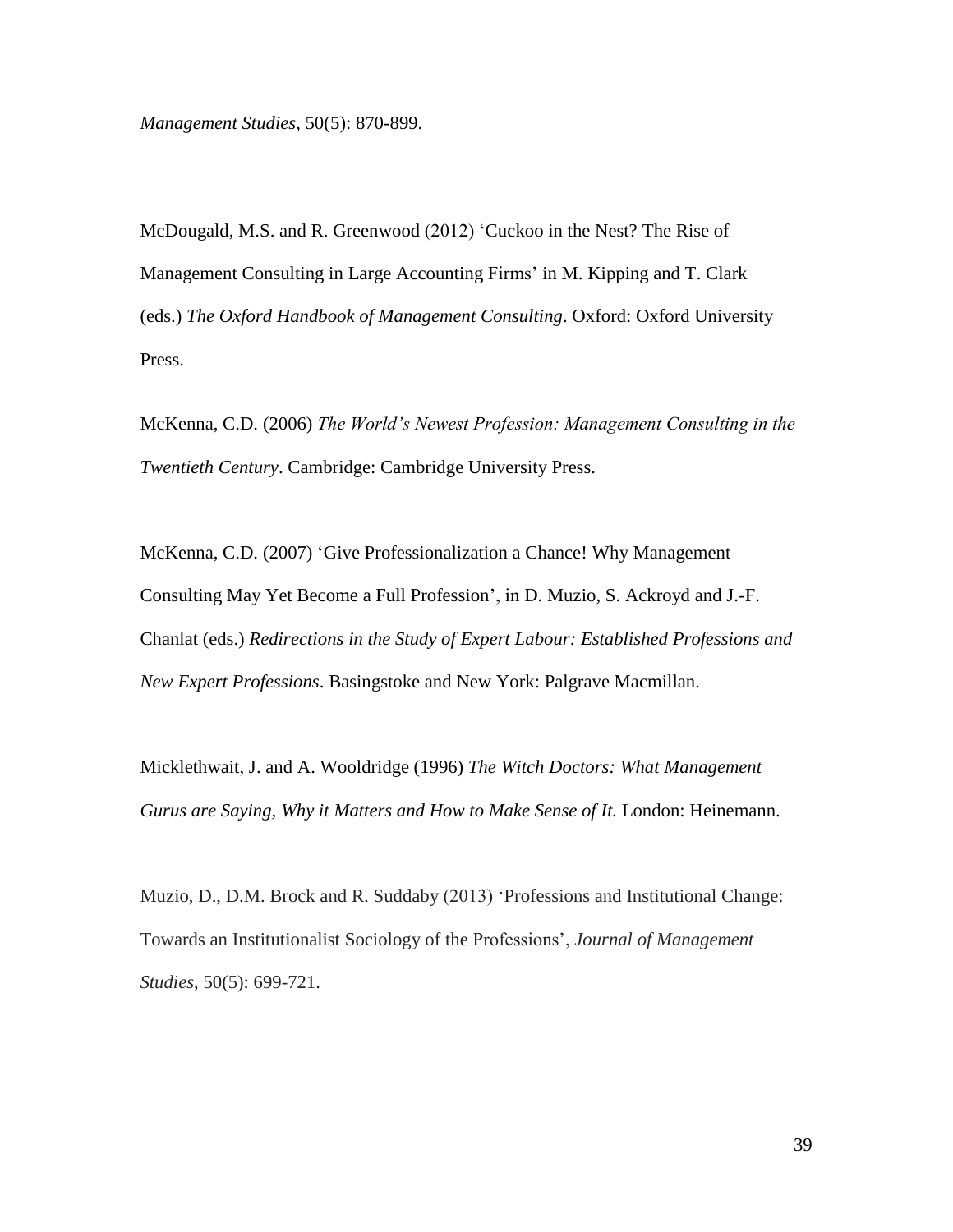*Management Studies*, 50(5): 870-899.

McDougald, M.S. and R. Greenwood (2012) 'Cuckoo in the Nest? The Rise of Management Consulting in Large Accounting Firms' in M. Kipping and T. Clark (eds.) *The Oxford Handbook of Management Consulting*. Oxford: Oxford University Press.

McKenna, C.D. (2006) *The World's Newest Profession: Management Consulting in the Twentieth Century*. Cambridge: Cambridge University Press.

McKenna, C.D. (2007) 'Give Professionalization a Chance! Why Management Consulting May Yet Become a Full Profession', in D. Muzio, S. Ackroyd and J.-F. Chanlat (eds.) *Redirections in the Study of Expert Labour: Established Professions and New Expert Professions*. Basingstoke and New York: Palgrave Macmillan.

Micklethwait, J. and A. Wooldridge (1996) *The Witch Doctors: What Management Gurus are Saying, Why it Matters and How to Make Sense of It.* London: Heinemann.

Muzio, D., D.M. Brock and R. Suddaby (2013) 'Professions and Institutional Change: Towards an Institutionalist Sociology of the Professions', *Journal of Management Studies*, 50(5): 699-721.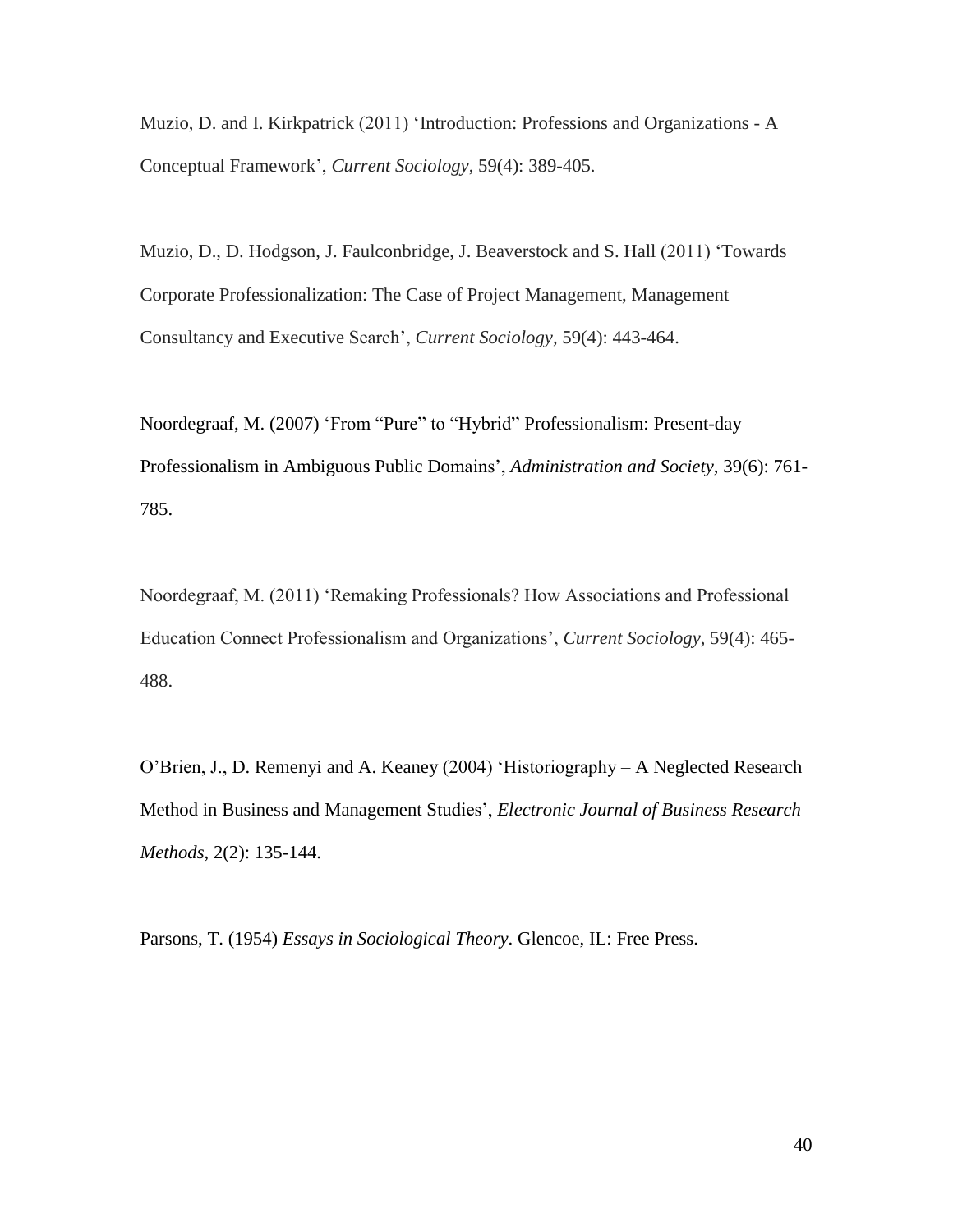Muzio, D. and I. Kirkpatrick (2011) 'Introduction: Professions and Organizations - A Conceptual Framework', *Current Sociology*, 59(4): 389-405.

Muzio, D., D. Hodgson, J. Faulconbridge, J. Beaverstock and S. Hall (2011) 'Towards Corporate Professionalization: The Case of Project Management, Management Consultancy and Executive Search', *Current Sociology*, 59(4): 443-464.

Noordegraaf, M. (2007) 'From "Pure" to "Hybrid" Professionalism: Present-day Professionalism in Ambiguous Public Domains', *Administration and Society*, 39(6): 761- 785.

Noordegraaf, M. (2011) 'Remaking Professionals? How Associations and Professional Education Connect Professionalism and Organizations', *Current Sociology*, 59(4): 465- 488.

O'Brien, J., D. Remenyi and A. Keaney (2004) 'Historiography – A Neglected Research Method in Business and Management Studies', *Electronic Journal of Business Research Methods*, 2(2): 135-144.

Parsons, T. (1954) *Essays in Sociological Theory*. Glencoe, IL: Free Press.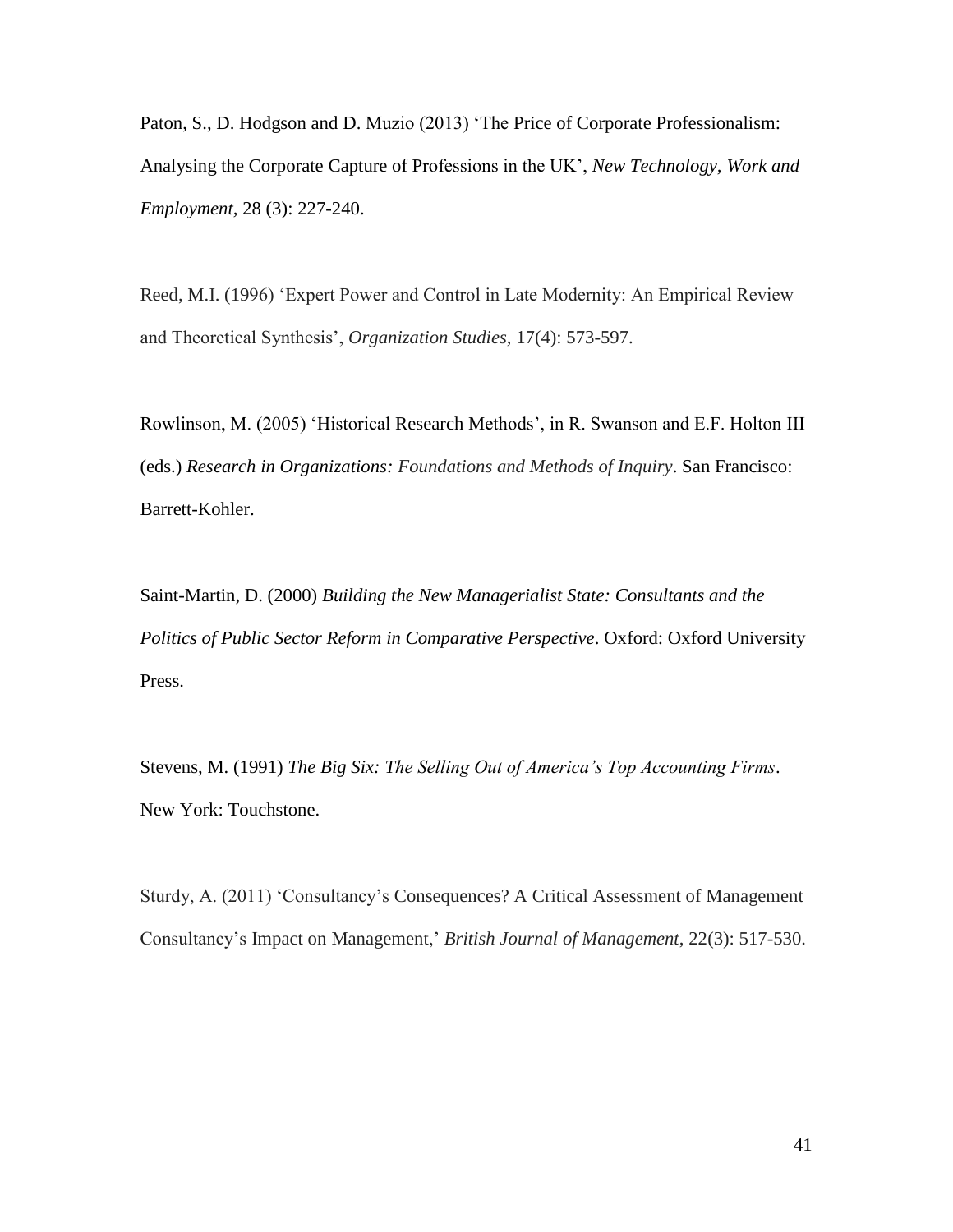Paton, S., D. Hodgson and D. Muzio (2013) 'The Price of Corporate Professionalism: Analysing the Corporate Capture of Professions in the UK', *New Technology, Work and Employment,* 28 (3): 227-240.

Reed, M.I. (1996) 'Expert Power and Control in Late Modernity: An Empirical Review and Theoretical Synthesis', *Organization Studies*, 17(4): 573-597.

Rowlinson, M. (2005) 'Historical Research Methods', in R. Swanson and E.F. Holton III (eds.) *Research in Organizations: Foundations and Methods of Inquiry*. San Francisco: Barrett-Kohler.

Saint-Martin, D. (2000) *Building the New Managerialist State: Consultants and the Politics of Public Sector Reform in Comparative Perspective*. Oxford: Oxford University Press.

Stevens, M. (1991) *The Big Six: The Selling Out of America's Top Accounting Firms*. New York: Touchstone.

Sturdy, A. (2011) 'Consultancy's Consequences? A Critical Assessment of Management Consultancy's Impact on Management,' *British Journal of Management*, 22(3): 517-530.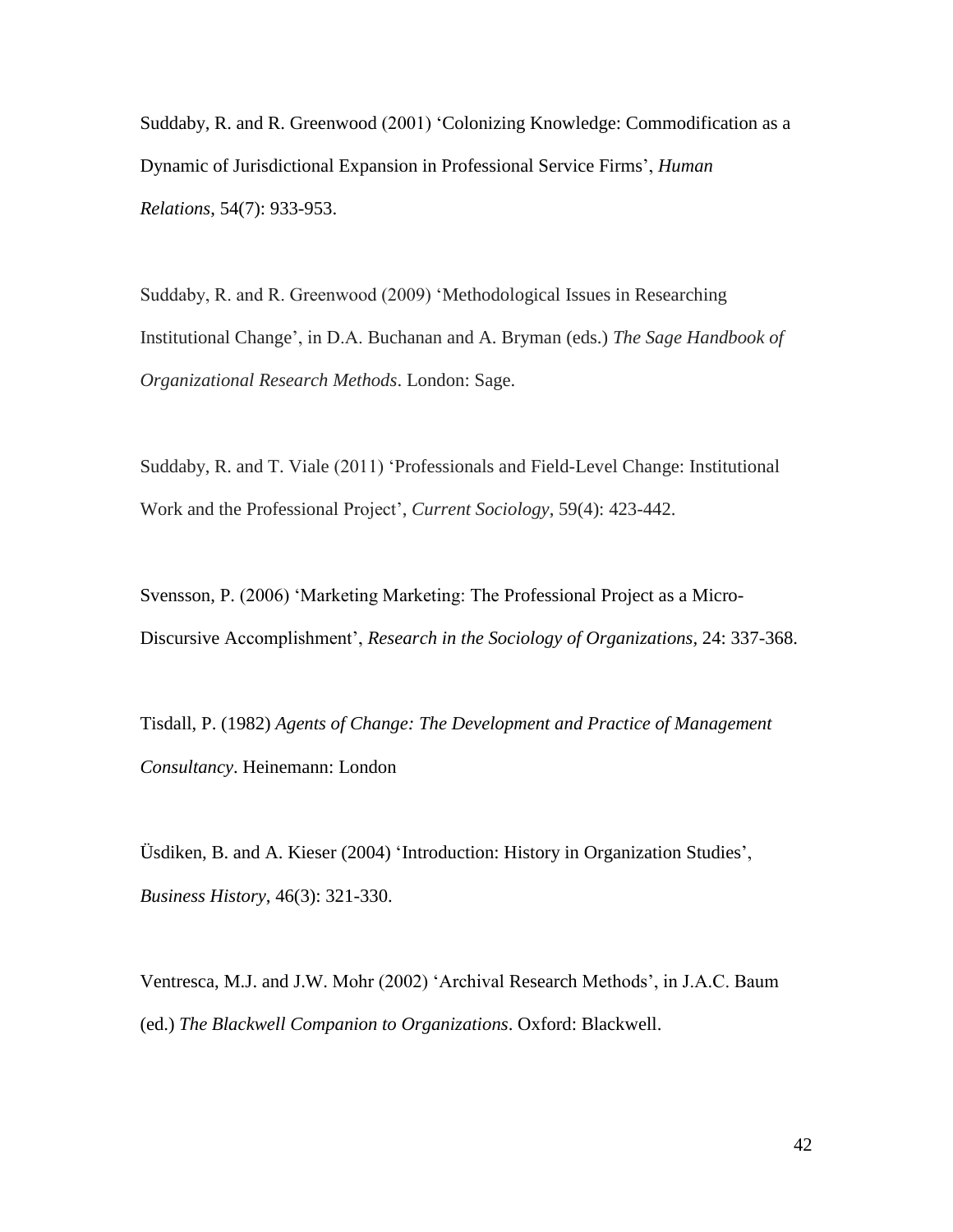Suddaby, R. and R. Greenwood (2001) 'Colonizing Knowledge: Commodification as a Dynamic of Jurisdictional Expansion in Professional Service Firms', *Human Relations*, 54(7): 933-953.

Suddaby, R. and R. Greenwood (2009) 'Methodological Issues in Researching Institutional Change', in D.A. Buchanan and A. Bryman (eds.) *The Sage Handbook of Organizational Research Methods*. London: Sage.

Suddaby, R. and T. Viale (2011) 'Professionals and Field-Level Change: Institutional Work and the Professional Project', *Current Sociology*, 59(4): 423-442.

Svensson, P. (2006) 'Marketing Marketing: The Professional Project as a Micro-Discursive Accomplishment', *Research in the Sociology of Organizations,* 24: 337-368.

Tisdall, P. (1982) *Agents of Change: The Development and Practice of Management Consultancy*. Heinemann: London

Üsdiken, B. and A. Kieser (2004) 'Introduction: History in Organization Studies', *Business History*, 46(3): 321-330.

Ventresca, M.J. and J.W. Mohr (2002) 'Archival Research Methods', in J.A.C. Baum (ed.) *The Blackwell Companion to Organizations*. Oxford: Blackwell.